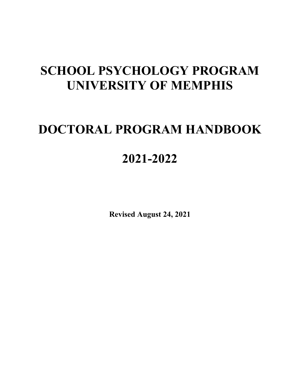# **SCHOOL PSYCHOLOGY PROGRAM UNIVERSITY OF MEMPHIS**

# **DOCTORAL PROGRAM HANDBOOK**

# **2021-2022**

**Revised August 24, 2021**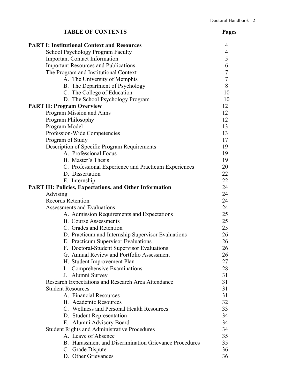| <b>TABLE OF CONTENTS</b>                                       | Pages          |
|----------------------------------------------------------------|----------------|
| <b>PART I: Institutional Context and Resources</b>             | 4              |
| School Psychology Program Faculty                              | $\overline{4}$ |
| <b>Important Contact Information</b>                           | 5              |
| <b>Important Resources and Publications</b>                    | 6              |
| The Program and Institutional Context                          | $\overline{7}$ |
| A. The University of Memphis                                   | $\overline{7}$ |
| B. The Department of Psychology                                | 8              |
| C. The College of Education                                    | 10             |
| D. The School Psychology Program                               | 10             |
| <b>PART II: Program Overview</b>                               | 12             |
| Program Mission and Aims                                       | 12             |
| Program Philosophy                                             | 12             |
| Program Model                                                  | 13             |
| Profession-Wide Competencies                                   | 13             |
| Program of Study                                               | 17             |
| Description of Specific Program Requirements                   | 19             |
| A. Professional Focus                                          | 19             |
| B. Master's Thesis                                             | 19             |
| C. Professional Experience and Practicum Experiences           | 20             |
| D. Dissertation                                                | 22             |
| E. Internship                                                  | 22             |
| <b>PART III: Policies, Expectations, and Other Information</b> | 24             |
| Advising                                                       | 24             |
| <b>Records Retention</b>                                       | 24             |
| Assessments and Evaluations                                    | 24             |
| A. Admission Requirements and Expectations                     | 25             |
| <b>B.</b> Course Assessments                                   | 25             |
| C. Grades and Retention                                        | 25             |
| D. Practicum and Internship Supervisor Evaluations             | 26             |
| E. Practicum Supervisor Evaluations                            | 26             |
| F. Doctoral-Student Supervisor Evaluations                     | 26             |
| G. Annual Review and Portfolio Assessment                      | 26             |
| H. Student Improvement Plan                                    | 27             |
| I. Comprehensive Examinations                                  | 28             |
| J. Alumni Survey                                               | 31             |
| Research Expectations and Research Area Attendance             | 31             |
| <b>Student Resources</b>                                       | 31             |
| A. Financial Resources                                         | 31             |
| <b>B.</b> Academic Resources                                   | 32             |
| C. Wellness and Personal Health Resources                      | 33             |
| D. Student Representation                                      | 34             |
| E. Alumni Advisory Board                                       | 34             |
| <b>Student Rights and Administrative Procedures</b>            | 34             |
| A. Leave of Absence                                            | 35             |
| B. Harassment and Discrimination Grievance Procedures          | 35             |
| C. Grade Dispute                                               | 36             |
| D. Other Grievances                                            | 36             |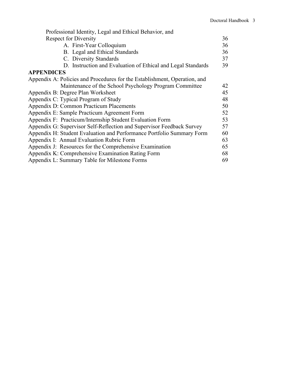| Professional Identity, Legal and Ethical Behavior, and                    |    |
|---------------------------------------------------------------------------|----|
| <b>Respect for Diversity</b>                                              | 36 |
| A. First-Year Colloquium                                                  | 36 |
| B. Legal and Ethical Standards                                            | 36 |
| C. Diversity Standards                                                    | 37 |
| D. Instruction and Evaluation of Ethical and Legal Standards              | 39 |
| <b>APPENDICES</b>                                                         |    |
| Appendix A: Policies and Procedures for the Establishment, Operation, and |    |
| Maintenance of the School Psychology Program Committee                    | 42 |
| Appendix B: Degree Plan Worksheet                                         | 45 |
| Appendix C: Typical Program of Study                                      | 48 |
| Appendix D: Common Practicum Placements                                   | 50 |
| Appendix E: Sample Practicum Agreement Form                               | 52 |
| Appendix F: Practicum/Internship Student Evaluation Form                  | 53 |
| Appendix G: Supervisor Self-Reflection and Supervisor Feedback Survey     | 57 |
| Appendix H: Student Evaluation and Performance Portfolio Summary Form     | 60 |
| Appendix I: Annual Evaluation Rubric Form                                 | 63 |
| Appendix J: Resources for the Comprehensive Examination                   | 65 |
| Appendix K: Comprehensive Examination Rating Form                         | 68 |
| Appendix L: Summary Table for Milestone Forms                             | 69 |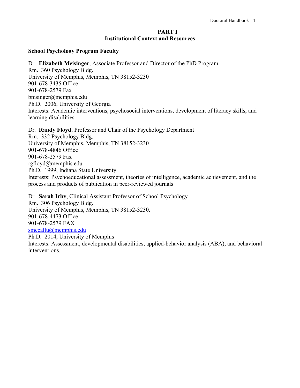### **PART I Institutional Context and Resources**

### **School Psychology Program Faculty**

Dr. **Elizabeth Meisinger**, Associate Professor and Director of the PhD Program Rm. 360 Psychology Bldg. University of Memphis, Memphis, TN 38152-3230 901-678-3435 Office 901-678-2579 Fax bmsinger@memphis.edu Ph.D. 2006, University of Georgia Interests: Academic interventions, psychosocial interventions, development of literacy skills, and learning disabilities

Dr. **Randy Floyd**, Professor and Chair of the Psychology Department

Rm. 332 Psychology Bldg. University of Memphis, Memphis, TN 38152-3230 901-678-4846 Office 901-678-2579 Fax rgfloyd@memphis.edu Ph.D. 1999, Indiana State University Interests: Psychoeducational assessment, theories of intelligence, academic achievement, and the process and products of publication in peer-reviewed journals

Dr. **Sarah Irby**, Clinical Assistant Professor of School Psychology Rm. 306 Psychology Bldg. University of Memphis, Memphis, TN 38152-3230. 901-678-4473 Office 901-678-2579 FAX [smccallu@memphis.edu](mailto:smccallu@memphis.edu) Ph.D. 2014, University of Memphis

Interests: Assessment, developmental disabilities, applied-behavior analysis (ABA), and behavioral interventions.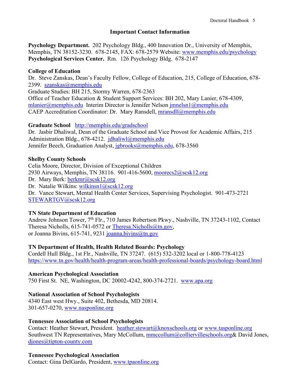# **Important Contact Information**

**Psychology Department.** 202 Psychology Bldg., 400 Innovation Dr., University of Memphis, Memphis, TN 38152-3230. 678-2145, FAX: 678-2579 Website: [www.memphis.edu/psychology](http://www.memphis.edu/psychology) **Psychological Services Center.** Rm. 126 Psychology Bldg. 678-2147

# **College of Education**

Dr. Steve Zanskas, Dean's Faculty Fellow, College of Education, 215, College of Education, 678- 2399. [szanskas@memphis.edu](mailto:szanskas@memphis.edu) Graduate Studies: BH 215, Stormy Warren, 678-2363 Office of Teacher Education & Student Support Services: BH 202, Mary Lanier, 678-4309, [mlanier@memphis.edu](mailto:mlanier@memphis.edu) Interim Director is Jennifer Nelson [jmnelsn1@memphis.edu](mailto:jmnelsn1@memphis.edu) CAEP Accreditation Coordinator: Dr. Mary Ransdell, [mransdll@memphis.edu](mailto:mransdll@memphis.edu)

# **Graduate School** <http://memphis.edu/gradschool>

Dr. Jasbir Dhaliwal, Dean of the Graduate School and Vice Provost for Academic Affairs, 215 Administration Bldg., 678-4212. [jdhaliwl@memphis.edu](mailto:jdhaliwl@memphis.edu) Jennifer Beech, Graduation Analyst, [jgbrooks@memphis.edu,](mailto:jgbrooks@memphis.edu) 678-3560

# **Shelby County Schools**

Celia Moore, Director, Division of Exceptional Children 2930 Airways, Memphis, TN 38116. 901-416-5600, [moorecs2@scsk12.org](mailto:moorecs2@scsk12.org) Dr. Mary Berk: [berkmr@scsk12.org](mailto:berkmr@scsk12.org) Dr. Natalie Wilkins: [wilkinsn1@scsk12.org](mailto:wilkinsn1@scsk12.org) Dr. Vance Stewart, Mental Health Center Services, Supervising Psychologist. 901-473-2721 [STEWARTGV@scsk12.org](mailto:STEWARTGV@scsk12.org)

# **TN State Department of Education**

Andrew Johnson Tower, 7<sup>th</sup> Flr., 710 James Robertson Pkwy., Nashville, TN 37243-1102, Contact Theresa Nicholls, 615-741-0572 or [Theresa.Nicholls@tn.gov,](mailto:Theresa.Nicholls@tn.gov) or Joanna Bivins, 615-741, 9231 [joanna.bivins@tn.gov](mailto:joanna.bivins@tn.gov)

# **TN Department of Health, Health Related Boards: Psychology**

Cordell Hull Bldg., 1st Flr., Nashville, TN 37247. (615) 532-3202 local or 1-800-778-4123 <https://www.tn.gov/health/health-program-areas/health-professional-boards/psychology-board.html>

# **American Psychological Association**

750 First St. NE, Washington, DC 20002-4242, 800-374-2721. [www.apa.org](http://www.apa.org/)

# **National Association of School Psychologists**

4340 East west Hwy., Suite 402, Bethesda, MD 20814. 301-657-0270, [www.nasponline.org](http://www.nasponline.org/)

# **Tennessee Association of School Psychologists**

Contact: Heather Stewart, President. [heather.stewart@knoxschools.org](mailto:heather.stewart@knoxschools.org) or [www.tasponline.org](http://www.tasponline.org/) Southwest TN Representatives, Mary McCollum, [mmccollum@colliervilleschools.org&](mailto:mmccollum@colliervilleschools.org) David Jones, [djones@tipton-county.com](mailto:djones@tipton-county.com)

# **Tennessee Psychological Association**

Contact: Gina DelGardo, President, [www.tpaonline.org](http://www.tpaonline.org/)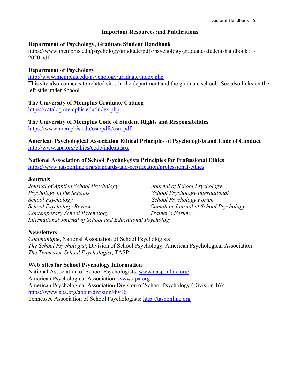# **Important Resources and Publications**

### **Department of Psychology, Graduate Student Handbook**

https://www.memphis.edu/psychology/graduate/pdfs/psychology-graduate-student-handbook11- 2020.pdf

# **Department of Psychology**

<http://www.memphis.edu/psychology/graduate/index.php>

This site also connects to related sites in the department and the graduate school. See also links on the left side under School.

# **The University of Memphis Graduate Catalog**

<https://catalog.memphis.edu/index.php>

**The University of Memphis Code of Student Rights and Responsibilities** <https://www.memphis.edu/osa/pdfs/csrr.pdf>

**American Psychological Association Ethical Principles of Psychologists and Code of Conduct** <http://www.apa.org/ethics/code/index.aspx>

**National Association of School Psychologists Principles for Professional Ethics** <https://www.nasponline.org/standards-and-certification/professional-ethics>

### **Journals**

*Journal of Applied School Psychology Journal of School Psychology Psychology in the Schools School Psychology International School Psychology School Psychology Forum School Psychology Review Canadian Journal of School Psychology Contemporary School Psychology Trainer's Forum International Journal of School and Educational Psychology*

# **Newsletters**

*Communique*, National Association of School Psychologists *The School Psychologist*, Division of School Psychology, American Psychological Association *The Tennessee School Psychologist*, TASP

# **Web Sites for School Psychology Information**

National Association of School Psychologists: [www.nasponline.org/](http://www.nasponline.org/) American Psychological Association: [www.apa.org](http://www.apa.org/) American Psychological Association Division of School Psychology (Division 16): <https://www.apa.org/about/division/div16> Tennessee Association of School Psychologists: [http://tasponline.org](http://tasponline.org/)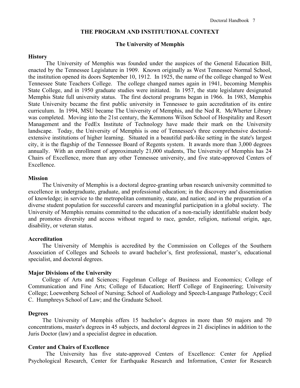### **THE PROGRAM AND INSTITUTIONAL CONTEXT**

### **The University of Memphis**

### **History**

The University of Memphis was founded under the auspices of the General Education Bill, enacted by the Tennessee Legislature in 1909. Known originally as West Tennessee Normal School, the institution opened its doors September 10, 1912. In 1925, the name of the college changed to West Tennessee State Teachers College. The college changed names again in 1941, becoming Memphis State College, and in 1950 graduate studies were initiated. In 1957, the state legislature designated Memphis State full university status. The first doctoral programs began in 1966. In 1983, Memphis State University became the first public university in Tennessee to gain accreditation of its entire curriculum. In 1994, MSU became The University of Memphis, and the [Ned R. McWherter Library](http://exlibris.memphis.edu/) was completed. Moving into the 21st century, the Kemmons Wilson School of Hospitality and Resort Management and the FedEx Institute of Technology have made their mark on the University landscape. Today, the University of Memphis is one of Tennessee's three comprehensive doctoralextensive institutions of higher learning. Situated in a beautiful park-like setting in the state's largest city, it is the flagship of the Tennessee Board of Regents system. It awards more than 3,000 degrees annually. With an enrollment of approximately 21,000 students, The University of Memphis has 24 Chairs of Excellence, more than any other Tennessee university, and five state-approved Centers of Excellence.

### **Mission**

The University of Memphis is a doctoral degree-granting urban research university committed to excellence in undergraduate, graduate, and professional education; in the discovery and dissemination of knowledge; in service to the metropolitan community, state, and nation; and in the preparation of a diverse student population for successful careers and meaningful participation in a global society. The University of Memphis remains committed to the education of a non-racially identifiable student body and promotes diversity and access without regard to race, gender, religion, national origin, age, disability, or veteran status.

#### **Accreditation**

The University of Memphis is accredited by the Commission on Colleges of the Southern Association of Colleges and Schools to award bachelor's, first professional, master's, educational specialist, and doctoral degrees.

### **Major Divisions of the University**

[College of Arts and Sciences;](http://cas.memphis.edu/) [Fogelman College of Business and Economics;](http://fcbe.memphis.edu/) [College of](http://www.people.memphis.edu/%7Ecommfinearts/)  [Communication and Fine Arts;](http://www.people.memphis.edu/%7Ecommfinearts/) [College of Education;](http://coe.memphis.edu/) [Herff College of Engineering;](http://www.engr.memphis.edu/) [University](http://www.people.memphis.edu/%7Eunivcoll/)  [College;](http://www.people.memphis.edu/%7Eunivcoll/) [Loewenberg School of Nursing;](http://nursing.memphis.edu/) [School of Audiology and Speech-Language Pathology;](http://www.ausp.memphis.edu/) [Cecil](http://www.law.memphis.edu/)  C. [Humphreys School of Law;](http://www.law.memphis.edu/) and the [Graduate School.](http://www.memphis.edu/gradschool/)

### **Degrees**

The University of Memphis offers 15 bachelor's degrees in more than 50 majors and 70 concentrations, master's degrees in 45 subjects, and doctoral degrees in 21 disciplines in addition to the Juris Doctor (law) and a specialist degree in education.

### **Center and Chairs of Excellence**

The University has five state-approved Centers of Excellence: [Center for Applied](http://www.psyc.memphis.edu/pages/progdesc.htm#appres)  [Psychological Research,](http://www.psyc.memphis.edu/pages/progdesc.htm#appres) [Center for Earthquake Research and Information,](http://www.ceri.memphis.edu/) [Center for Research](http://www.ausp.memphis.edu/crisci.html)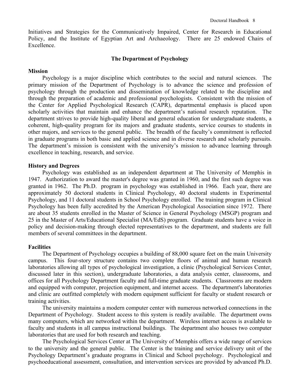Initiatives and Strategies for [the Communicatively Impaired,](http://www.ausp.memphis.edu/crisci.html) [Center for Research in Educational](http://www.people.memphis.edu/%7Ecoe_crep/)  [Policy,](http://www.people.memphis.edu/%7Ecoe_crep/) and the [Institute of Egyptian Art and Archaeology.](http://www.memphis.edu/egypt/main.html) There are 25 endowed Chairs of Excellence.

### **The Department of Psychology**

### **Mission**

Psychology is a major discipline which contributes to the social and natural sciences. The primary mission of the Department of Psychology is to advance the science and profession of psychology through the production and dissemination of knowledge related to the discipline and through the preparation of academic and professional psychologists. Consistent with the mission of the Center for Applied Psychological Research (CAPR), departmental emphasis is placed upon scholarly activities that maintain and enhance the department's national research reputation. The department strives to provide high-quality liberal and general education for undergraduate students, a coherent, high-quality program for its majors and graduate students, service courses to students in other majors, and services to the general public. The breadth of the faculty's commitment is reflected in graduate programs in both basic and applied science and in diverse research and scholarly pursuits. The department's mission is consistent with the university's mission to advance learning through excellence in teaching, research, and service.

### **History and Degrees**

Psychology was established as an independent department at The University of Memphis in 1947. Authorization to award the master's degree was granted in 1960, and the first such degree was granted in 1962. The Ph.D. program in psychology was established in 1966. Each year, there are approximately 50 doctoral students in Clinical Psychology, 40 doctoral students in Experimental Psychology, and 11 doctoral students in School Psychology enrolled. The training program in Clinical Psychology has been fully accredited by the American Psychological Association since 1972. There are about 35 students enrolled in the Master of Science in General Psychology (MSGP) program and 25 in the Master of Arts/Educational Specialist (MA/EdS) program. Graduate students have a voice in policy and decision-making through elected representatives to the department, and students are full members of several committees in the department.

### **Facilities**

The [Department of Psychology](http://www.psyc.memphis.edu/psych.htm) occupies a building of 88,000 square feet on the main University campus. This four-story structure contains two complete floors of animal and human research laboratories allowing all types of psychological investigation, a clinic [\(Psychological Services Center,](http://www.psyc.memphis.edu/pages/specials/psc/psc.htm) discussed later in this section), undergraduate laboratories, a data analysis center, classrooms, and offices for all Psychology Department faculty and full-time graduate students. Classrooms are modern and equipped with computer, projection equipment, and internet access. The department's laboratories and clinic are outfitted completely with modern equipment sufficient for faculty or student research or training activities.

The university maintains a modern computer center with numerous networked connections in the Department of Psychology. Student access to this system is readily available. The department owns many computers, which are networked within the department. Wireless internet access is available to faculty and students in all campus instructional buildings. The department also houses two computer laboratories that are used for both research and teaching.

The Psychological Services Center at The University of Memphis offers a wide range of services to the university and the general public. The Center is the training and service delivery unit of the Psychology Department's graduate programs in Clinical and School psychology. Psychological and psychoeducational assessment, consultation, and intervention services are provided by advanced Ph.D.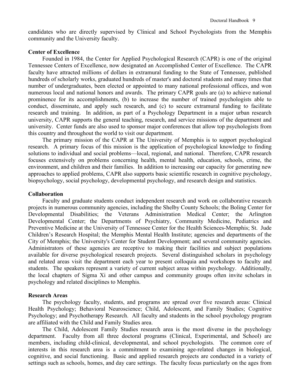candidates who are directly supervised by Clinical and School Psychologists from the Memphis community and the University faculty.

### **Center of Excellence**

Founded in 1984, the Center for Applied Psychological Research (CAPR) is one of the original Tennessee Centers of Excellence, now designated an Accomplished Center of Excellence. The CAPR faculty have attracted millions of dollars in extramural funding to the State of Tennessee, published hundreds of scholarly works, graduated hundreds of master's and doctoral students and many times that number of undergraduates, been elected or appointed to many national professional offices, and won numerous local and national honors and awards. The primary CAPR goals are (a) to achieve national prominence for its accomplishments, (b) to increase the number of trained psychologists able to conduct, disseminate, and apply such research, and (c) to secure extramural funding to facilitate research and training. In addition, as part of a Psychology Department in a major urban research university, CAPR supports the general teaching, research, and service missions of the department and university. Center funds are also used to sponsor major conferences that allow top psychologists from this country and throughout the world to visit our department.

The primary mission of the CAPR at The University of Memphis is to support psychological research. A primary focus of this mission is the application of psychological knowledge to finding solutions to individual and social problems—local, regional, and national. Therefore, CAPR research focuses extensively on problems concerning health, mental health, education, schools, crime, the environment, and children and their families. In addition to increasing our capacity for generating new approaches to applied problems, CAPR also supports basic scientific research in cognitive psychology, biopsychology, social psychology, developmental psychology, and research design and statistics.

### **Collaboration**

Faculty and graduate students conduct independent research and work on collaborative research projects in numerous community agencies, including the Shelby County Schools; the Boling Center for Developmental Disabilities; the Veterans Administration Medical Center; the Arlington Developmental Center; the Departments of Psychiatry, Community Medicine, Pediatrics and Preventive Medicine at the University of Tennessee Center for the Health Sciences-Memphis; St. Jude Children's Research Hospital; the Memphis Mental Health Institute; agencies and departments of the City of Memphis; the University's Center for Student Development; and several community agencies. Administrators of these agencies are receptive to making their facilities and subject populations available for diverse psychological research projects. Several distinguished scholars in psychology and related areas visit the department each year to present colloquia and workshops to faculty and students. The speakers represent a variety of current subject areas within psychology. Additionally, the local chapters of Sigma Xi and other campus and community groups often invite scholars in psychology and related disciplines to Memphis.

#### **Research Areas**

The psychology faculty, students, and programs are spread over five research areas: Clinical Health Psychology; Behavioral Neuroscience; Child, Adolescent, and Family Studies; Cognitive Psychology; and Psychotherapy Research. All faculty and students in the school psychology program are affiliated with the Child and Family Studies area.

The Child, Adolescent Family Studies research area is the most diverse in the psychology department. Faculty from all three doctoral programs (Clinical, Experimental, and School) are members, including child-clinical, developmental, and school psychologists. The common core of interests in this research area is a commitment to examining age-related changes in biological, cognitive, and social functioning. Basic and applied research projects are conducted in a variety of settings such as schools, homes, and day care settings. The faculty focus particularly on the ages from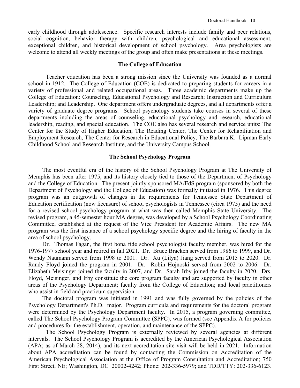early childhood through adolescence. Specific research interests include family and peer relations, social cognition, behavior therapy with children, psychological and educational assessment, exceptional children, and historical development of school psychology. Area psychologists are welcome to attend all weekly meetings of the group and often make presentations at these meetings.

### **The College of Education**

Teacher education has been a strong mission since the University was founded as a normal school in 1912. The College of Education (COE) is dedicated to preparing students for careers in a variety of professional and related occupational areas. Three academic departments make up the College of Education: Counseling, Educational Psychology and Research; Instruction and Curriculum Leadership; and Leadership. One department offers undergraduate degrees, and all departments offer a variety of graduate degree programs. School psychology students take courses in several of these departments including the areas of counseling, educational psychology and research, educational leadership, reading, and special education. The COE also has several research and service units: The Center for the Study of Higher Education, The Reading Center, The Center for Rehabilitation and Employment Research, The Center for Research in Educational Policy, The Barbara K. Lipman Early Childhood School and Research Institute, and the University Campus School.

### **The School Psychology Program**

The most eventful era of the history of the School Psychology Program at The University of Memphis has been after 1975, and its history closely tied to those of the Department of Psychology and the College of Education. The present jointly sponsored MA/EdS program (sponsored by both the Department of Psychology and the College of Education) was formally initiated in 1976. This degree program was an outgrowth of changes in the requirements for Tennessee State Department of Education certification (now licensure) of school psychologists in Tennessee (circa 1975) and the need for a revised school psychology program at what was then called Memphis State University. The revised program, a 45-semester hour MA degree, was developed by a School Psychology Coordinating Committee, established at the request of the Vice President for Academic Affairs. The new MA program was the first instance of a school psychology specific degree and the hiring of faculty in the area of school psychology.

Dr. Thomas Fagan, the first bona fide school psychologist faculty member, was hired for the 1976-1977 school year and retired in fall 2021. Dr. Bruce Bracken served from 1986 to 1999, and Dr. Wendy Naumann served from 1998 to 2001. Dr. Xu (Lilya) Jiang served from 2015 to 2020. Dr. Randy Floyd joined the program in 2001. Dr. Robin Hojnoski served from 2002 to 2006. Dr. Elizabeth Meisinger joined the faculty in 2007, and Dr. Sarah Irby joined the faculty in 2020. Drs. Floyd, Meisinger, and Irby constitute the core program faculty and are supported by faculty in other areas of the Psychology Department; faculty from the College of Education; and local practitioners who assist in field and practicum supervision.

The doctoral program was initiated in 1991 and was fully governed by the policies of the Psychology Department's Ph.D. major. Program curricula and requirements for the doctoral program were determined by the Psychology Department faculty. In 2015, a program governing committee, called The School Psychology Program Committee (SPPC), was formed (see Appendix A for policies and procedures for the establishment, operation, and maintenance of the SPPC).

The School Psychology Program is externally reviewed by several agencies at different intervals. The School Psychology Program is accredited by the American Psychological Association (APA; as of March 28, 2014), and its next accreditation site visit will be held in 2021. Information about APA accreditation can be found by contacting the Commission on Accreditation of the American Psychological Association at the Office of Program Consultation and Accreditation; 750 First Street, NE; Washington, DC 20002-4242; Phone: 202-336-5979; and TDD/TTY: 202-336-6123.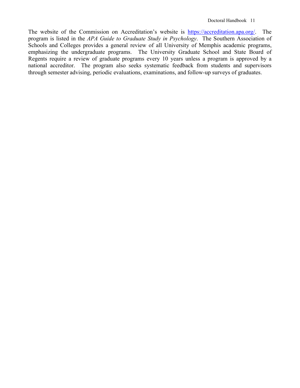The website of the Commission on Accreditation's website is [https://accreditation.apa.org/.](https://accreditation.apa.org/) The program is listed in the *APA Guide to Graduate Study in Psychology*. The Southern Association of Schools and Colleges provides a general review of all University of Memphis academic programs, emphasizing the undergraduate programs. The University Graduate School and State Board of Regents require a review of graduate programs every 10 years unless a program is approved by a national accreditor. The program also seeks systematic feedback from students and supervisors through semester advising, periodic evaluations, examinations, and follow-up surveys of graduates.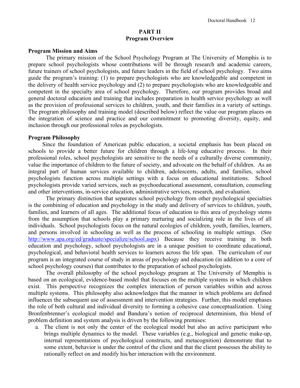### **PART II Program Overview**

### **Program Mission and Aims**

The primary mission of the School Psychology Program at The University of Memphis is to prepare school psychologists whose contributions will be through research and academic careers, future trainers of school psychologists, and future leaders in the field of school psychology. Two aims guide the program's training: (1) to prepare psychologists who are knowledgeable and competent in the delivery of health service psychology and (2) to prepare psychologists who are knowledgeable and competent in the specialty area of school psychology. Therefore, our program provides broad and general doctoral education and training that includes preparation in health service psychology as well as the provision of professional services to children, youth, and their families in a variety of settings. The program philosophy and training model (described below) reflect the value our program places on the integration of science and practice and our commitment to promoting diversity, equity, and inclusion through our professional roles as psychologists.

### **Program Philosophy**

Since the foundation of American public education, a societal emphasis has been placed on schools to provide a better future for children through a life-long educative process. In their professional roles, school psychologists are sensitive to the needs of a culturally diverse community, value the importance of children to the future of society, and advocate on the behalf of children. As an integral part of human services available to children, adolescents, adults, and families, school psychologists function across multiple settings with a focus on educational institutions. School psychologists provide varied services, such as psychoeducational assessment, consultation, counseling and other interventions, in-service education, administrative services, research, and evaluation.

The primary distinction that separates school psychology from other psychological specialties is the combining of education and psychology in the study and delivery of services to children, youth, families, and learners of all ages. The additional focus of education to this area of psychology stems from the assumption that schools play a primary nurturing and socializing role in the lives of all individuals. School psychologists focus on the natural ecologies of children, youth, families, learners, and persons involved in schooling as well as the process of schooling in multiple settings. (See [http://www.apa.org/ed/graduate/specialize/school.aspx\)](http://www.apa.org/ed/graduate/specialize/school.aspx) Because they receive training in both education and psychology, school psychologists are in a unique position to coordinate educational, psychological, and behavioral health services to learners across the life span. The curriculum of our program is an integrated course of study in areas of psychology and education (in addition to a core of school psychology courses) that contributes to the preparation of school psychologists.

The overall philosophy of the school psychology program at The University of Memphis is based on an ecological, evidence-based model that focuses on the multiple systems in which children exist. This perspective recognizes the complex interaction of person variables within and across multiple systems. This philosophy also acknowledges that the manner in which problems are defined influences the subsequent use of assessment and intervention strategies. Further, this model emphases the role of both cultural and individual diversity to forming a cohesive case conceptualization. Using Bronfenbrenner's ecological model and Bandura's notion of reciprocal determinism, this blend of problem definition and system analysis is driven by the following premises:

a. The client is not only the center of the ecological model but also an active participant who brings multiple dynamics to the model. These variables (e.g., biological and genetic make-up, internal representations of psychological constructs, and metacognition) demonstrate that to some extent, behavior is under the control of the client and that the client possesses the ability to rationally reflect on and modify his/her interaction with the environment.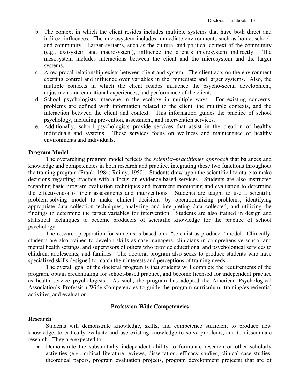- b. The context in which the client resides includes multiple systems that have both direct and indirect influences. The microsystem includes immediate environments such as home, school, and community. Larger systems, such as the cultural and political context of the community (e.g., exosystem and macrosystem), influence the client's microsystem indirectly. The mesosystem includes interactions between the client and the microsystem and the larger systems.
- c. A reciprocal relationship exists between client and system. The client acts on the environment exerting control and influence over variables in the immediate and larger systems. Also, the multiple contexts in which the client resides influence the psycho-social development, adjustment and educational experiences, and performance of the client.
- d. School psychologists intervene in the ecology in multiple ways. For existing concerns, problems are defined with information related to the client, the multiple contexts, and the interaction between the client and context. This information guides the practice of school psychology, including prevention, assessment, and intervention services.
- e. Additionally, school psychologists provide services that assist in the creation of healthy individuals and systems. These services focus on wellness and maintenance of healthy environments and individuals.

### **Program Model**

The overarching program model reflects the *scientist–practitioner approach* that balances and knowledge and competencies in both research and practice, integrating these two functions throughout the training program (Frank, 1984; Raimy, 1950). Students draw upon the scientific literature to make decisions regarding practice with a focus on evidence-based services. Students are also instructed regarding basic program evaluation techniques and treatment monitoring and evaluation to determine the effectiveness of their assessments and interventions. Students are taught to use a scientific problem-solving model to make clinical decisions by operationalizing problems, identifying appropriate data collection techniques, analyzing and interpreting data collected, and utilizing the findings to determine the target variables for intervention. Students are also trained in design and statistical techniques to become producers of scientific knowledge for the practice of school psychology.

The research preparation for students is based on a "scientist as producer" model. Clinically, students are also trained to develop skills as case managers, clinicians in comprehensive school and mental health settings, and supervisors of others who provide educational and psychological services to children, adolescents, and families. The doctoral program also seeks to produce students who have specialized skills designed to match their interests and perceptions of training needs.

The overall goal of the doctoral program is that students will complete the requirements of the program, obtain credentialing for school-based practice, and become licensed for independent practice as health service psychologists. As such, the program has adopted the American Psychological Association's Profession-Wide Competencies to guide the program curriculum, training/experiential activities, and evaluation.

### **Profession-Wide Competencies**

### **Research**

Students will demonstrate knowledge, skills, and competence sufficient to produce new knowledge, to critically evaluate and use existing knowledge to solve problems, and to disseminate research. They are expected to:

• Demonstrate the substantially independent ability to formulate research or other scholarly activities (e.g., critical literature reviews, dissertation, efficacy studies, clinical case studies, theoretical papers, program evaluation projects, program development projects) that are of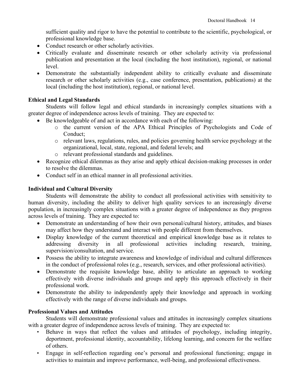sufficient quality and rigor to have the potential to contribute to the scientific, psychological, or professional knowledge base.

- Conduct research or other scholarly activities.
- Critically evaluate and disseminate research or other scholarly activity via professional publication and presentation at the local (including the host institution), regional, or national level.
- Demonstrate the substantially independent ability to critically evaluate and disseminate research or other scholarly activities (e.g., case conference, presentation, publications) at the local (including the host institution), regional, or national level.

# **Ethical and Legal Standards**

Students will follow legal and ethical standards in increasingly complex situations with a greater degree of independence across levels of training. They are expected to:

- Be knowledgeable of and act in accordance with each of the following:
	- o the current version of the APA Ethical Principles of Psychologists and Code of Conduct;
	- o relevant laws, regulations, rules, and policies governing health service psychology at the organizational, local, state, regional, and federal levels; and
	- o relevant professional standards and guidelines.
- Recognize ethical dilemmas as they arise and apply ethical decision-making processes in order to resolve the dilemmas.
- Conduct self in an ethical manner in all professional activities.

# **Individual and Cultural Diversity**

Students will demonstrate the ability to conduct all professional activities with sensitivity to human diversity, including the ability to deliver high quality services to an increasingly diverse population, in increasingly complex situations with a greater degree of independence as they progress across levels of training. They are expected to:

- Demonstrate an understanding of how their own personal/cultural history, attitudes, and biases may affect how they understand and interact with people different from themselves.
- Display knowledge of the current theoretical and empirical knowledge base as it relates to addressing diversity in all professional activities including research, training, supervision/consultation, and service.
- Possess the ability to integrate awareness and knowledge of individual and cultural differences in the conduct of professional roles (e.g., research, services, and other professional activities).
- Demonstrate the requisite knowledge base, ability to articulate an approach to working effectively with diverse individuals and groups and apply this approach effectively in their professional work.
- Demonstrate the ability to independently apply their knowledge and approach in working effectively with the range of diverse individuals and groups.

# **Professional Values and Attitudes**

Students will demonstrate professional values and attitudes in increasingly complex situations with a greater degree of independence across levels of training. They are expected to:

- Behave in ways that reflect the values and attitudes of psychology, including integrity, deportment, professional identity, accountability, lifelong learning, and concern for the welfare of others.
- Engage in self-reflection regarding one's personal and professional functioning; engage in activities to maintain and improve performance, well-being, and professional effectiveness.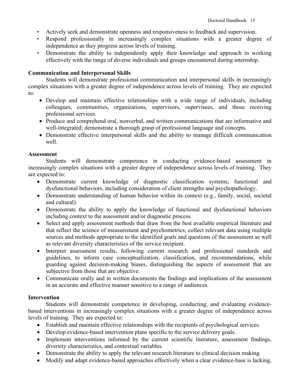- Actively seek and demonstrate openness and responsiveness to feedback and supervision.
- Respond professionally in increasingly complex situations with a greater degree of independence as they progress across levels of training.
- Demonstrate the ability to independently apply their knowledge and approach in working effectively with the range of diverse individuals and groups encountered during internship.

# **Communication and Interpersonal Skills**

Students will demonstrate professional communication and interpersonal skills in increasingly complex situations with a greater degree of independence across levels of training. They are expected to:

- Develop and maintain effective relationships with a wide range of individuals, including colleagues, communities, organizations, supervisors, supervisees, and those receiving professional services.
- Produce and comprehend oral, nonverbal, and written communications that are informative and well-integrated; demonstrate a thorough grasp of professional language and concepts.
- Demonstrate effective interpersonal skills and the ability to manage difficult communication well.

### **Assessment**

Students will demonstrate competence in conducting evidence-based assessment in increasingly complex situations with a greater degree of independence across levels of training. They are expected to:

- Demonstrate current knowledge of diagnostic classification systems, functional and dysfunctional behaviors, including consideration of client strengths and psychopathology.
- Demonstrate understanding of human behavior within its context (e.g., family, social, societal and cultural).
- Demonstrate the ability to apply the knowledge of functional and dysfunctional behaviors including context to the assessment and/or diagnostic process.
- Select and apply assessment methods that draw from the best available empirical literature and that reflect the science of measurement and psychometrics; collect relevant data using multiple sources and methods appropriate to the identified goals and questions of the assessment as well as relevant diversity characteristics of the service recipient.
- Interpret assessment results, following current research and professional standards and guidelines, to inform case conceptualization, classification, and recommendations, while guarding against decision-making biases, distinguishing the aspects of assessment that are subjective from those that are objective.
- Communicate orally and in written documents the findings and implications of the assessment in an accurate and effective manner sensitive to a range of audiences.

# **Intervention**

Students will demonstrate competence in developing, conducting, and evaluating evidencebased interventions in increasingly complex situations with a greater degree of independence across levels of training. They are expected to:

- Establish and maintain effective relationships with the recipients of psychological services.
- Develop evidence-based intervention plans specific to the service delivery goals.
- Implement interventions informed by the current scientific literature, assessment findings, diversity characteristics, and contextual variables.
- Demonstrate the ability to apply the relevant research literature to clinical decision making.
- Modify and adapt evidence-based approaches effectively when a clear evidence-base is lacking,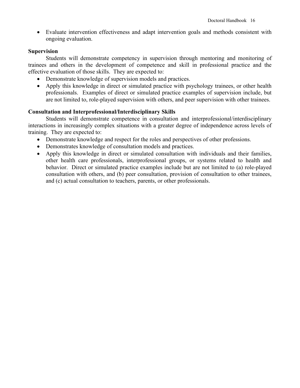• Evaluate intervention effectiveness and adapt intervention goals and methods consistent with ongoing evaluation.

### **Supervision**

Students will demonstrate competency in supervision through mentoring and monitoring of trainees and others in the development of competence and skill in professional practice and the effective evaluation of those skills. They are expected to:

- Demonstrate knowledge of supervision models and practices.
- Apply this knowledge in direct or simulated practice with psychology trainees, or other health professionals. Examples of direct or simulated practice examples of supervision include, but are not limited to, role-played supervision with others, and peer supervision with other trainees.

### **Consultation and Interprofessional/Interdisciplinary Skills**

Students will demonstrate competence in consultation and interprofessional/interdisciplinary interactions in increasingly complex situations with a greater degree of independence across levels of training. They are expected to:

- Demonstrate knowledge and respect for the roles and perspectives of other professions.
- Demonstrates knowledge of consultation models and practices.
- Apply this knowledge in direct or simulated consultation with individuals and their families, other health care professionals, interprofessional groups, or systems related to health and behavior. Direct or simulated practice examples include but are not limited to (a) role-played consultation with others, and (b) peer consultation, provision of consultation to other trainees, and (c) actual consultation to teachers, parents, or other professionals.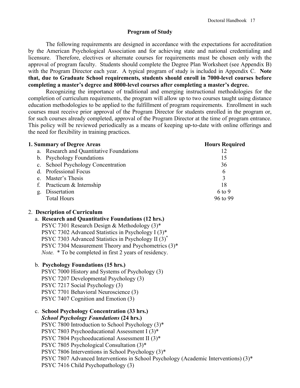### **Program of Study**

The following requirements are designed in accordance with the expectations for accreditation by the American Psychological Association and for achieving state and national credentialing and licensure. Therefore, electives or alternate courses for requirements must be chosen only with the approval of program faculty. Students should complete the Degree Plan Worksheet (see Appendix B) with the Program Director each year. A typical program of study is included in Appendix C. **Note that, due to Graduate School requirements, students should enroll in 7000-level courses before completing a master's degree and 8000-level courses after completing a master's degree.**

Recognizing the importance of traditional and emerging instructional methodologies for the completion of curriculum requirements, the program will allow up to two courses taught using distance education methodologies to be applied to the fulfillment of program requirements. Enrollment in such courses must receive prior approval of the Program Director for students enrolled in the program or, for such courses already completed, approval of the Program Director at the time of program entrance. This policy will be reviewed periodically as a means of keeping up-to-date with online offerings and the need for flexibility in training practices.

|    | 1. Summary of Degree Areas               | <b>Hours Required</b> |
|----|------------------------------------------|-----------------------|
|    | a. Research and Quantitative Foundations | 12                    |
|    | b. Psychology Foundations                | 15                    |
|    | c. School Psychology Concentration       | 36                    |
|    | d. Professional Focus                    | 6                     |
|    | e. Master's Thesis                       | 3                     |
|    | f. Practicum & Internship                | 18                    |
| g. | Dissertation                             | $6$ to 9              |
|    | <b>Total Hours</b>                       | 96 to 99              |
|    |                                          |                       |

# 2. **Description of Curriculum**

### a. **Research and Quantitative Foundations (12 hrs.)**

PSYC 7301 Research Design & Methodology (3)\* PSYC 7302 Advanced Statistics in Psychology I (3)\* PSYC 7303 Advanced Statistics in Psychology II (3)\* PSYC 7304 Measurement Theory and Psychometrics (3)\* *Note.* \* To be completed in first 2 years of residency.

### b. **Psychology Foundations (15 hrs.)**

PSYC 7000 History and Systems of Psychology (3) PSYC 7207 Developmental Psychology (3) PSYC 7217 Social Psychology (3) PSYC 7701 Behavioral Neuroscience (3) PSYC 7407 Cognition and Emotion (3)

c. **School Psychology Concentration (33 hrs.)** *School Psychology Foundations* **(24 hrs.)** PSYC 7800 Introduction to School Psychology (3)\* PSYC 7803 Psychoeducational Assessment I (3)\* PSYC 7804 Psychoeducational Assessment II (3)\* PSYC 7805 Psychological Consultation (3)\* PSYC 7806 Interventions in School Psychology (3)\* PSYC 7807 Advanced Interventions in School Psychology (Academic Interventions) (3)\* PSYC 7416 Child Psychopathology (3)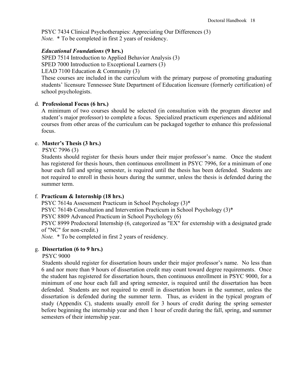PSYC 7434 Clinical Psychotherapies: Appreciating Our Differences (3) *Note.*  $*$  To be completed in first 2 years of residency.

### *Educational Foundations* **(9 hrs.)**

 SPED 7514 Introduction to Applied Behavior Analysis (3) SPED 7000 Introduction to Exceptional Learners (3)

LEAD 7100 Education & Community (3)

These courses are included in the curriculum with the primary purpose of promoting graduating students' licensure Tennessee State Department of Education licensure (formerly certification) of school psychologists.

### d. **Professional Focus (6 hrs.)**

A minimum of two courses should be selected (in consultation with the program director and student's major professor) to complete a focus. Specialized practicum experiences and additional courses from other areas of the curriculum can be packaged together to enhance this professional focus.

### e. **Master's Thesis (3 hrs.)**

PSYC 7996 (3)

Students should register for thesis hours under their major professor's name. Once the student has registered for thesis hours, then continuous enrollment in PSYC 7996, for a minimum of one hour each fall and spring semester, is required until the thesis has been defended. Students are not required to enroll in thesis hours during the summer, unless the thesis is defended during the summer term.

# f. **Practicum & Internship (18 hrs.)**

PSYC 7614a Assessment Practicum in School Psychology (3)\*

PSYC 7614b Consultation and Intervention Practicum in School Psychology (3)\*

PSYC 8809 Advanced Practicum in School Psychology (6)

PSYC 8999 Predoctoral Internship (6, categorized as "EX" for externship with a designated grade of "NC" for non-credit.)

 *Note.* \* To be completed in first 2 years of residency.

# g. **Dissertation (6 to 9 hrs.)**

### PSYC 9000

 Students should register for dissertation hours under their major professor's name. No less than 6 and nor more than 9 hours of dissertation credit may count toward degree requirements. Once the student has registered for dissertation hours, then continuous enrollment in PSYC 9000, for a minimum of one hour each fall and spring semester, is required until the dissertation has been defended. Students are not required to enroll in dissertation hours in the summer, unless the dissertation is defended during the summer term. Thus, as evident in the typical program of study (Appendix C), students usually enroll for 3 hours of credit during the spring semester before beginning the internship year and then 1 hour of credit during the fall, spring, and summer semesters of their internship year.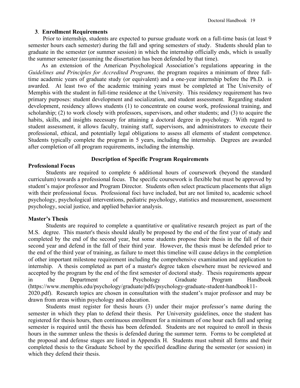# **3**. **Enrollment Requirements**

 Prior to internship, students are expected to pursue graduate work on a full-time basis (at least 9 semester hours each semester) during the fall and spring semesters of study. Students should plan to graduate in the semester (or summer session) in which the internship officially ends, which is usually the summer semester (assuming the dissertation has been defended by that time).

 As an extension of the American Psychological Association's regulations appearing in the *Guidelines and Principles for Accredited Programs,* the program requires a minimum of three fulltime academic years of graduate study (or equivalent) and a one-year internship before the Ph.D. is awarded. At least two of the academic training years must be completed at The University of Memphis with the student in full-time residence at the University. This residency requirement has two primary purposes: student development and socialization, and student assessment. Regarding student development, residency allows students (1) to concentrate on course work, professional training, and scholarship; (2) to work closely with professors, supervisors, and other students; and (3) to acquire the habits, skills, and insights necessary for attaining a doctoral degree in psychology. With regard to student assessment, it allows faculty, training staff, supervisors, and administrators to execute their professional, ethical, and potentially legal obligations to assess all elements of student competence. Students typically complete the program in 5 years, including the internship. Degrees are awarded after completion of all program requirements, including the internship.

# **Description of Specific Program Requirements**

# **Professional Focus**

Students are required to complete 6 additional hours of coursework (beyond the standard curriculum) towards a professional focus. The specific coursework is flexible but must be approved by student's major professor and Program Director. Students often select practicum placements that align with their professional focus. Professional foci have included, but are not limited to, academic school psychology, psychological interventions, pediatric psychology, statistics and measurement, assessment psychology, social justice, and applied behavior analysis.

# **Master's Thesis**

Students are required to complete a quantitative or qualitative research project as part of the M.S. degree. This master's thesis should ideally be proposed by the end of the first year of study and completed by the end of the second year, but some students propose their thesis in the fall of their second year and defend in the fall of their third year. However, the thesis must be defended prior to the end of the third year of training, as failure to meet this timeline will cause delays in the completion of other important milestone requirement including the comprehensive examination and application to internship. A thesis completed as part of a master's degree taken elsewhere must be reviewed and accepted by the program by the end of the first semester of doctoral study. Thesis requirements appear in the Department of Psychology Graduate Program Handbook (https://www.memphis.edu/psychology/graduate/pdfs/psychology-graduate-student-handbook11- 2020.pdf). Research topics are chosen in consultation with the student's major professor and may be drawn from areas within psychology and education.

Students must register for thesis hours (3) under their major professor's name during the semester in which they plan to defend their thesis. Per University guidelines, once the student has registered for thesis hours, then continuous enrollment for a minimum of one hour each fall and spring semester is required until the thesis has been defended. Students are not required to enroll in thesis hours in the summer unless the thesis is defended during the summer term. Forms to be completed at the proposal and defense stages are listed in Appendix H. Students must submit all forms and their completed thesis to the Graduate School by the specified deadline during the semester (or session) in which they defend their thesis.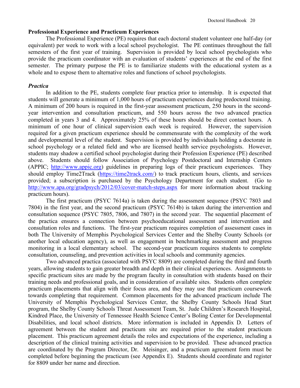### **Professional Experience and Practicum Experiences**

The Professional Experience (PE) requires that each doctoral student volunteer one half-day (or equivalent) per week to work with a local school psychologist. The PE continues throughout the fall semesters of the first year of training. Supervision is provided by local school psychologists who provide the practicum coordinator with an evaluation of students' experiences at the end of the first semester. The primary purpose the PE is to familiarize students with the educational system as a whole and to expose them to alternative roles and functions of school psychologists.

# *Practica*

In addition to the PE, students complete four practica prior to internship. It is expected that students will generate a minimum of 1,000 hours of practicum experiences during predoctoral training. A minimum of 200 hours is required in the first-year assessment practicum, 250 hours in the secondyear intervention and consultation practicum, and 550 hours across the two advanced practica completed in years 3 and 4. Approximately 25% of these hours should be direct contact hours. A minimum of one hour of clinical supervision each week is required. However, the supervision required for a given practicum experience should be commensurate with the complexity of the work and developmental level of the student. Supervision is provided by individuals holding a doctorate in school psychology or a related field and who are licensed health service psychologists. However, students may shadow a certified school psychologist during their Profession Experience (PE) described above. Students should follow Association of Psychology Postdoctoral and Internship Centers (APPIC; [http://www.appic.org\)](http://www.appic.org/) guidelines in preparing logs of their practicum experiences. They should employ Time2Track [\(https://time2track.com/\)](https://time2track.com/) to track practicum hours, clients, and services provided; a subscription is purchased by the Psychology Department for each student. (Go to <http://www.apa.org/gradpsych/2012/03/cover-match-steps.aspx> for more information about tracking practicum hours).

The first practicum (PSYC 7614a) is taken during the assessment sequence (PSYC 7803 and 7804) in the first year, and the second practicum (PSYC 7614b) is taken during the intervention and consultation sequence (PSYC 7805, 7806, and 7807) in the second year. The sequential placement of the practica ensures a connection between psychoeducational assessment and intervention and consultation roles and functions. The first-year practicum requires completion of assessment cases in both The University of Memphis Psychological Services Center and the Shelby County Schools (or another local education agency), as well as engagement in benchmarking assessment and progress monitoring in a local elementary school. The second-year practicum requires students to complete consultation, counseling, and prevention activities in local schools and community agencies.

Two advanced practica (associated with PSYC 8809) are completed during the third and fourth years, allowing students to gain greater breadth and depth in their clinical experiences. Assignments to specific practicum sites are made by the program faculty in consultation with students based on their training needs and professional goals, and in consideration of available sites. Students often complete practicum placements that align with their focus area, and they may use that practicum coursework towards completing that requirement. Common placements for the advanced practicum include The University of Memphis Psychological Services Center, the Shelby County Schools Head Start program, the Shelby County Schools Threat Assessment Team, St. Jude Children's Research Hospital, Kindred Place, the University of Tennessee Health Science Center's Boling Center for Developmental Disabilities, and local school districts. More information is included in Appendix D. Letters of agreement between the student and practicum site are required prior to the student practicum placement. This practicum agreement details the roles and expectations of the experience, including a description of the clinical training activities and supervision to be provided. These advanced practica are coordinated by the Program Director, Dr. Meisinger, and a practicum agreement form must be completed before beginning the practicum (see Appendix E). Students should coordinate and register for 8809 under her name and direction.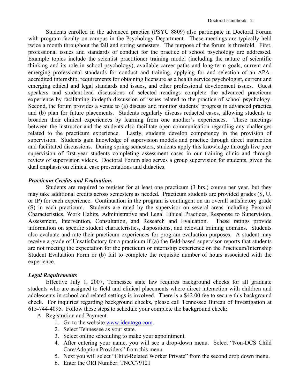Students enrolled in the advanced practica (PSYC 8809) also participate in Doctoral Forum with program faculty on campus in the Psychology Department. These meetings are typically held twice a month throughout the fall and spring semesters. The purpose of the forum is threefold. First, professional issues and standards of conduct for the practice of school psychology are addressed. Example topics include the scientist–practitioner training model (including the nature of scientific thinking and its role in school psychology), available career paths and long-term goals, current and emerging professional standards for conduct and training, applying for and selection of an APAaccredited internship, requirements for obtaining licensure as a health service psychologist, current and emerging ethical and legal standards and issues, and other professional development issues. Guest speakers and student-lead discussions of selected readings complete the advanced practicum experience by facilitating in-depth discussion of issues related to the practice of school psychology. Second, the forum provides a venue to (a) discuss and monitor students' progress in advanced practica and (b) plan for future placements. Students regularly discuss redacted cases, allowing students to broaden their clinical experiences by learning from one another's experiences. These meetings between the instructor and the students also facilitate open communication regarding any challenges related to the practicum experience. Lastly, students develop competency in the provision of supervision. Students gain knowledge of supervision models and practice through direct instruction and facilitated discussions. During spring semesters, students apply this knowledge through live peer supervision of first-year students completing assessment cases in our training clinic and through review of supervision videos. Doctoral Forum also serves a group supervision for students, given the dual emphasis on clinical case presentations and didactics.

### *Practicum Credits and Evaluation.*

Students are required to register for at least one practicum (3 hrs.) course per year, but they may take additional credits across semesters as needed. Practicum students are provided grades (S, U, or IP) for each experience. Continuation in the program is contingent on an overall satisfactory grade (S) in each practicum. Students are rated by the supervisor on several areas including Personal Characteristics, Work Habits, Administrative and Legal Ethical Practices, Response to Supervision, Assessment, Intervention, Consultation, and Research and Evaluation. These ratings provide information on specific student characteristics, dispositions, and relevant training domains. Students also evaluate and rate their practicum experiences for program evaluation purposes. A student may receive a grade of Unsatisfactory for a practicum if (a) the field-based supervisor reports that students are not meeting the expectation for the practicum or internship experience on the Practicum/Internship Student Evaluation Form or (b) fail to complete the requisite number of hours associated with the experience.

### *Legal Requirements*

Effective July 1, 2007, Tennessee state law requires background checks for all graduate students who are assigned to field and clinical placements where direct interaction with children and adolescents in school and related settings is involved. There is a \$42.00 fee to secure this background check. For inquiries regarding background checks, please call Tennessee Bureau of Investigation at 615-744-4095. Follow these steps to schedule your complete the background check:

A. Registration and Payment

- 1. Go to the website [www.identogo.com.](http://www.l1enrollment.com/)
- 2. Select Tennessee as your state.
- 3. Select online scheduling to make your appointment.
- 4. After entering your name, you will see a drop-down menu. Select "Non-DCS Child Care/Adoption Providers" from this menu.
- 5. Next you will select "Child-Related Worker Private" from the second drop down menu.
- 6. Enter the ORI Number: TNCC79121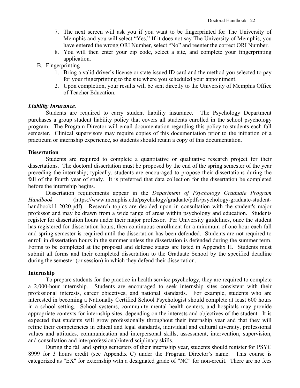- 7. The next screen will ask you if you want to be fingerprinted for The University of Memphis and you will select "Yes." If it does not say The University of Memphis, you have entered the wrong ORI Number, select "No" and reenter the correct ORI Number.
- 8. You will then enter your zip code, select a site, and complete your fingerprinting application.
- B. Fingerprinting
	- 1. Bring a valid driver's license or state issued ID card and the method you selected to pay for your fingerprinting to the site where you scheduled your appointment.
	- 2. Upon completion, your results will be sent directly to the University of Memphis Office of Teacher Education.

### *Liability Insurance.*

Students are required to carry student liability insurance. The Psychology Department purchases a group student liability policy that covers all students enrolled in the school psychology program. The Program Director will email documentation regarding this policy to students each fall semester. Clinical supervisors may require copies of this documentation prior to the initiation of a practicum or internship experience, so students should retain a copy of this documentation.

### **Dissertation**

Students are required to complete a quantitative or qualitative research project for their dissertations. The doctoral dissertation must be proposed by the end of the spring semester of the year preceding the internship; typically, students are encouraged to propose their dissertations during the fall of the fourth year of study. It is preferred that data collection for the dissertation be completed before the internship begins.

Dissertation requirements appear in the *Department of Psychology Graduate Program Handbook* (https://www.memphis.edu/psychology/graduate/pdfs/psychology-graduate-studenthandbook11-2020.pdf). Research topics are decided upon in consultation with the student's major professor and may be drawn from a wide range of areas within psychology and education. Students register for dissertation hours under their major professor. Per University guidelines, once the student has registered for dissertation hours, then continuous enrollment for a minimum of one hour each fall and spring semester is required until the dissertation has been defended. Students are not required to enroll in dissertation hours in the summer unless the dissertation is defended during the summer term. Forms to be completed at the proposal and defense stages are listed in Appendix H. Students must submit all forms and their completed dissertation to the Graduate School by the specified deadline during the semester (or session) in which they defend their dissertation.

### **Internship**

To prepare students for the practice in health service psychology, they are required to complete a 2,000-hour internship. Students are encouraged to seek internship sites consistent with their professional interests, career objectives, and national standards. For example, students who are interested in becoming a Nationally Certified School Psychologist should complete at least 600 hours in a school setting. School systems, community mental health centers, and hospitals may provide appropriate contexts for internship sites, depending on the interests and objectives of the student. It is expected that students will grow professionally throughout their internship year and that they will refine their competencies in ethical and legal standards, individual and cultural diversity, professional values and attitudes, communication and interpersonal skills, assessment, intervention, supervision, and consultation and interprofessional/interdisciplinary skills.

During the fall and spring semesters of their internship year, students should register for PSYC 8999 for 3 hours credit (see Appendix C) under the Program Director's name. This course is categorized as "EX" for externship with a designated grade of "NC" for non-credit. There are no fees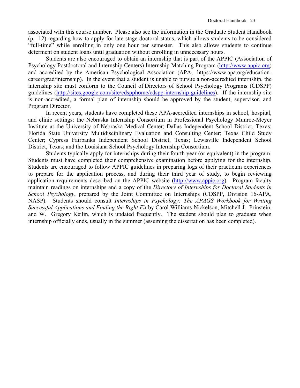associated with this course number. Please also see the information in the Graduate Student Handbook (p. 12) regarding how to apply for late-stage doctoral status, which allows students to be considered "full-time" while enrolling in only one hour per semester. This also allows students to continue deferment on student loans until graduation without enrolling in unnecessary hours.

Students are also encouraged to obtain an internship that is part of the APPIC (Association of Psychology Postdoctoral and Internship Centers) Internship Matching Program [\(http://www.appic.org\)](http://www.appic.org/) and accredited by the American Psychological Association (APA; https://www.apa.org/educationcareer/grad/internship). In the event that a student is unable to pursue a non-accredited internship, the internship site must conform to the Council of Directors of School Psychology Programs (CDSPP) guidelines [\(http://sites.google.com/site/cdspphome/cdspp-internship-guidelines\)](http://sites.google.com/site/cdspphome/cdspp-internship-guidelines). If the internship site is non-accredited, a formal plan of internship should be approved by the student, supervisor, and Program Director.

In recent years, students have completed these APA-accredited internships in school, hospital, and clinic settings: the Nebraska Internship Consortium in Professional Psychology Munroe-Meyer Institute at the University of Nebraska Medical Center; Dallas Independent School District, Texas; Florida State University Multidisciplinary Evaluation and Consulting Center; Texas Child Study Center; Cypress Fairbanks Independent School District, Texas; Lewisville Independent School District, Texas; and the Louisiana School Psychology Internship Consortium.

Students typically apply for internships during their fourth year (or equivalent) in the program. Students must have completed their comprehensive examination before applying for the internship. Students are encouraged to follow APPIC guidelines in preparing logs of their practicum experiences to prepare for the application process, and during their third year of study, to begin reviewing application requirements described on the APPIC website [\(http://www.appic.org\)](http://www.appic.org/). Program faculty maintain readings on internships and a copy of the *Directory of Internships for Doctoral Students in School Psychology*, prepared by the Joint Committee on Internships (CDSPP, Division 16-APA, NASP). Students should consult *Internships in Psychology: The APAGS Workbook for Writing Successful Applications and Finding the Right Fit* by [Carol Williams-Nickelson,](http://www.amazon.com/s/ref=ntt_athr_dp_sr_1?_encoding=UTF8&sort=relevancerank&search-alias=books&field-author=Carol%20Williams-Nickelson) [Mitchell J. Prinstein,](http://www.amazon.com/s/ref=ntt_athr_dp_sr_2?_encoding=UTF8&sort=relevancerank&search-alias=books&field-author=Mitchell%20J.%20Prinstein) and [W. Gregory Keilin,](http://www.amazon.com/s/ref=ntt_athr_dp_sr_3?_encoding=UTF8&sort=relevancerank&search-alias=books&field-author=W.%20Gregory%20Keilin) which is updated frequently. The student should plan to graduate when internship officially ends, usually in the summer (assuming the dissertation has been completed).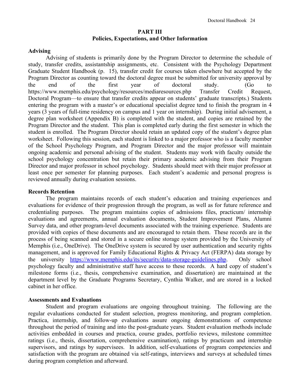### **PART III Policies, Expectations, and Other Information**

### **Advising**

Advising of students is primarily done by the Program Director to determine the schedule of study, transfer credits, assistantship assignments, etc. Consistent with the Psychology Department Graduate Student Handbook (p. 15), transfer credit for courses taken elsewhere but accepted by the Program Director as counting toward the doctoral degree must be submitted for university approval by the end of the first year of doctoral study. (Go to https://www.memphis.edu/psychology/resources/mediaresources.php Transfer Credit Request, Doctoral Program—to ensure that transfer credits appear on students' graduate transcripts.) Students entering the program with a master's or educational specialist degree tend to finish the program in 4 years (3 years of full-time residency on campus and 1 year on internship). During initial advisement, a degree plan worksheet (Appendix B) is completed with the student, and copies are retained by the Program Director and the student. This plan is completed early during the first semester in which the student is enrolled. The Program Director should retain an updated copy of the student's degree plan worksheet. Following this session, each student is linked to a major professor who is a faculty member of the School Psychology Program, and Program Director and the major professor will maintain ongoing academic and personal advising of the student. Students may work with faculty outside the school psychology concentration but retain their primary academic advising from their Program Director and major professor in school psychology. Students should meet with their major professor at least once per semester for planning purposes. Each student's academic and personal progress is reviewed annually during evaluation sessions.

### **Records Retention**

The program maintains records of each student's education and training experiences and evaluations for evidence of their progression through the program, as well as for future reference and credentialing purposes. The program maintains copies of admissions files, practicum/ internship evaluations and agreements, annual evaluation documents, Student Improvement Plans, Alumni Survey data, and other program-level documents associated with the training experience. Students are provided with copies of these documents and are encouraged to retain them. These records are in the process of being scanned and stored in a secure online storage system provided by the University of Memphis (i.e., OneDrive). The OneDrive system is secured by user authentication and security rights management, and is approved for Family Educational Rights & Privacy Act (FERPA) data storage by the university [https://www.memphis.edu/its/security/data-storage-guidelines.php.](https://www.memphis.edu/its/security/data-storage-guidelines.php) Only school psychology faculty and administrative staff have access to these records. A hard copy of student's milestone forms (i.e., thesis, comprehensive examination, and dissertation) are maintained at the department level by the Graduate Programs Secretary, Cynthia Walker, and are stored in a locked cabinet in her office.

### **Assessments and Evaluations**

Student and program evaluations are ongoing throughout training. The following are the regular evaluations conducted for student selection, progress monitoring, and program completion. Practica, internship, and follow-up evaluations assure ongoing demonstrations of competence throughout the period of training and into the post-graduate years. Student evaluation methods include activities embedded in courses and practica, course grades, portfolio reviews, milestone committee ratings (i.e., thesis, dissertation, comprehensive examination), ratings by practicum and internship supervisors, and ratings by supervisees. In addition, self-evaluations of program competencies and satisfaction with the program are obtained via self-ratings, interviews and surveys at scheduled times during program completion and afterward.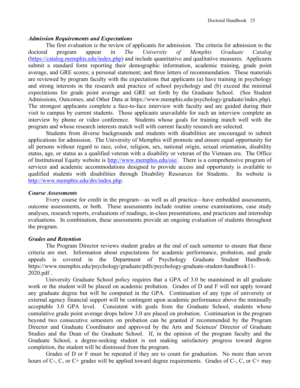### *Admission Requirements and Expectations*

The first evaluation is the review of applicants for admission. The criteria for admission to the doctoral program appear in *The University of Memphis Graduate Catalog*  [\(https://catalog.memphis.edu/index.php\)](https://catalog.memphis.edu/index.php) and include quantitative and qualitative measures. Applicants submit a standard form reporting their demographic information, academic training, grade point average, and GRE scores; a personal statement; and three letters of recommendation. These materials are reviewed by program faculty with the expectations that applicants (a) have training in psychology and strong interests in the research and practice of school psychology and (b) exceed the minimal expectations for grade point average and GRE set forth by the Graduate School. (See Student Admissions, Outcomes, and Other Data at https://www.memphis.edu/psychology/graduate/index.php). The strongest applicants complete a face-to-face interview with faculty and are guided during their visit to campus by current students. Those applicants unavailable for such an interview complete an interview by phone or video conference. Students whose goals for training match well with the program and whose research interests match well with current faculty research are selected.

Students from diverse backgrounds and students with disabilities are encouraged to submit applications for admission. The University of Memphis will promote and ensure equal opportunity for all persons without regard to race, color, religion, sex, national origin, sexual orientation, disability status, age, or status as a qualified veteran with a disability or veteran of the Vietnam era. The Office of Institutional Equity website is [http://www.memphis.edu/oie/.](http://www.memphis.edu/oie/) There is a comprehensive program of services and academic accommodations designed to provide access and opportunity is available to qualified students with disabilities through Disability Resources for Students. Its website is [http://www.memphis.edu/drs/index.php.](http://www.memphis.edu/drs/index.php)

### *Course Assessments*

Every course for credit in the program—as well as all practica—have embedded assessments, outcome assessments, or both. These assessments include routine course examinations, case study analyses, research reports, evaluations of readings, in-class presentations, and practicum and internship evaluations. In combination, these assessments provide an ongoing evaluation of students throughout the program.

### *Grades and Retention*

The Program Director reviews student grades at the end of each semester to ensure that these criteria are met. Information about expectations for academic performance, probation, and grade appeals is covered in the Department of Psychology Graduate Student Handbook: https://www.memphis.edu/psychology/graduate/pdfs/psychology-graduate-student-handbook11- 2020.pdf .

University Graduate School policy requires that a GPA of 3.0 be maintained in all graduate work or the student will be placed on academic probation. Grades of D and F will not apply toward any graduate degree but will be computed in the GPA. Continuation of any type of university or external agency financial support will be contingent upon academic performance above the minimally acceptable 3.0 GPA level. Consistent with goals from the Graduate School, students whose cumulative grade point average drops below 3.0 are placed on probation. Continuation in the program beyond two consecutive semesters on probation can be granted if recommended by the Program Director and Graduate Coordinator and approved by the Arts and Sciences' Director of Graduate Studies and the Dean of the Graduate School. If, in the opinion of the program faculty and the Graduate School, a degree-seeking student is not making satisfactory progress toward degree completion, the student will be dismissed from the program.

Grades of D or F must be repeated if they are to count for graduation. No more than seven hours of C-, C, or C+ grades will be applied toward degree requirements. Grades of C-, C, or C+ may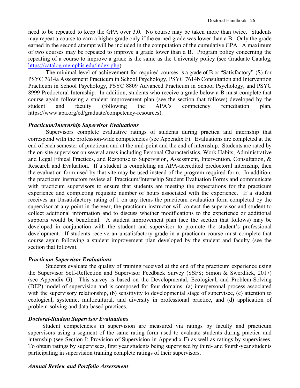need to be repeated to keep the GPA over 3.0. No course may be taken more than twice. Students may repeat a course to earn a higher grade only if the earned grade was lower than a B. Only the grade earned in the second attempt will be included in the computation of the cumulative GPA. A maximum of two courses may be repeated to improve a grade lower than a B. Program policy concerning the repeating of a course to improve a grade is the same as the University policy (see Graduate Catalog, [https://catalog.memphis.edu/index.php\)](https://catalog.memphis.edu/index.php).

The minimal level of achievement for required courses is a grade of B or "Satisfactory" (S) for PSYC 7614a Assessment Practicum in School Psychology, PSYC 7614b Consultation and Intervention Practicum in School Psychology, PSYC 8809 Advanced Practicum in School Psychology, and PSYC 8999 Predoctoral Internship. In addition, students who receive a grade below a B must complete that course again following a student improvement plan (see the section that follows) developed by the student and faculty (following the APA's competency remediation plan, https://www.apa.org/ed/graduate/competency-resources).

### *Practicum/Internship Supervisor Evaluations*

Supervisors complete evaluative ratings of students during practica and internship that correspond with the profession-wide competencies (see Appendix F). Evaluations are completed at the end of each semester of practicum and at the mid-point and the end of internship. Students are rated by the on-site supervisor on several areas including Personal Characteristics, Work Habits, Administrative and Legal Ethical Practices, and Response to Supervision, Assessment, Intervention, Consultation, & Research and Evaluation. If a student is completing an APA-accredited predoctoral internship, then the evaluation form used by that site may be used instead of the program-required form. In addition, the practicum instructors review all Practicum/Internship Student Evaluation Forms and communicate with practicum supervisors to ensure that students are meeting the expectations for the practicum experience and completing requisite number of hours associated with the experience. If a student receives an Unsatisfactory rating of 1 on any items the practicum evaluation form completed by the supervisor at any point in the year, the practicum instructor will contact the supervisor and student to collect additional information and to discuss whether modifications to the experience or additional supports would be beneficial. A student improvement plan (see the section that follows) may be developed in conjunction with the student and supervisor to promote the student's professional development. If students receive an unsatisfactory grade in a practicum course must complete that course again following a student improvement plan developed by the student and faculty (see the section that follows).

### *Practicum Supervisor Evaluations*

Students evaluate the quality of training received at the end of the practicum experience using the Supervisor Self-Reflection and Supervisor Feedback Survey (SSFS; Simon & Swerdlick, 2017) (see Appendix G). This survey is based on the Developmental, Ecological, and Problem-Solving (DEP) model of supervision and is composed for four domains: (a) interpersonal process associated with the supervisory relationship, (b) sensitivity to developmental stage of supervisee, (c) attention to ecological, systemic, multicultural, and diversity in professional practice, and (d) application of problem-solving and data-based practices.

### *Doctoral-Student Supervisor Evaluations*

Student competencies in supervision are measured via ratings by faculty and practicum supervisors using a segment of the same rating form used to evaluate students during practica and internship (see Section I: Provision of Supervision in Appendix F) as well as ratings by supervisees. To obtain ratings by supervisees, first year students being supervised by third- and fourth-year students participating in supervision training complete ratings of their supervisors.

### *Annual Review and Portfolio Assessment*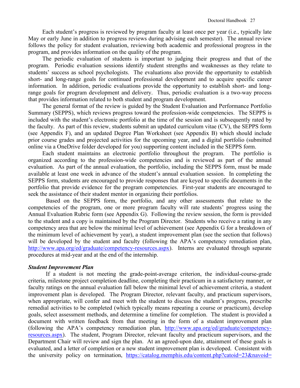Each student's progress is reviewed by program faculty at least once per year (i.e., typically late May or early June in addition to progress reviews during advising each semester). The annual review follows the policy for student evaluation, reviewing both academic and professional progress in the program, and provides information on the quality of the program.

The periodic evaluation of students is important to judging their progress and that of the program. Periodic evaluation sessions identify student strengths and weaknesses as they relate to students' success as school psychologists. The evaluations also provide the opportunity to establish short- and long-range goals for continued professional development and to acquire specific career information. In addition, periodic evaluations provide the opportunity to establish short- and longrange goals for program development and delivery. Thus, periodic evaluation is a two-way process that provides information related to both student and program development.

The general format of the review is guided by the Student Evaluation and Performance Portfolio Summary (SEPPS), which reviews progress toward the profession-wide competencies. The SEPPS is included with the student's electronic portfolio at the time of the session and is subsequently rated by the faculty. As part of this review, students submit an updated curriculum vitae (CV), the SEPPS form (see Appendix F), and an updated Degree Plan Worksheet (see Appendix B) which should include prior course grades and projected activities for the upcoming year, and a digital portfolio (submitted online via a OneDrive folder developed for you) supporting content included in the SEPPS form.

Each student maintains an electronic portfolio throughout the program. The portfolio is organized according to the profession-wide competencies and is reviewed as part of the annual evaluation. As part of the annual evaluation, the portfolio, including the SEPPS form, must be made available at least one week in advance of the student's annual evaluation session. In completing the SEPPS form, students are encouraged to provide responses that are keyed to specific documents in the portfolio that provide evidence for the program competencies. First-year students are encouraged to seek the assistance of their student mentor in organizing their portfolios.

Based on the SEPPS form, the portfolio, and any other assessments that relate to the competencies of the program, one or more program faculty will rate students' progress using the Annual Evaluation Rubric form (see Appendix G). Following the review session, the form is provided to the student and a copy is maintained by the Program Director. Students who receive a rating in any competency area that are below the minimal level of achievement (see Appendix G for a breakdown of the minimum level of achievement by year), a student improvement plan (see the section that follows) will be developed by the student and faculty (following the APA's competency remediation plan, [http://www.apa.org/ed/graduate/competency-resources.aspx\)](http://www.apa.org/ed/graduate/competency-resources.aspx). Interns are evaluated through separate procedures at mid-year and at the end of the internship.

### *Student Improvement Plan*

If a student is not meeting the grade-point-average criterion, the individual-course-grade criteria, milestone project completion deadline, completing their practicum in a satisfactory manner, or faculty ratings on the annual evaluation fall below the minimal level of achievement criteria, a student improvement plan is developed. The Program Director, relevant faculty, and practicum supervisors, when appropriate, will confer and meet with the student to discuss the student's progress, prescribe remedial activities to be completed (which typically means repeating a course or practicum), develop goals, select assessment methods, and determine a timeline for completion. The student is provided a document with written feedback from that meeting in the form of a student improvement plan (following the APA's competency remediation plan, [http://www.apa.org/ed/graduate/competency](http://www.apa.org/ed/graduate/competency-resources.aspx)[resources.aspx\)](http://www.apa.org/ed/graduate/competency-resources.aspx). The student, Program Director, relevant faculty and practicum supervisors, and the Department Chair will review and sign the plan. At an agreed-upon date, attainment of these goals is evaluated, and a letter of completion or a new student improvement plan is developed. Consistent with the university policy on termination, https://catalog.memphis.edu/content.php?catoid=23&navoid=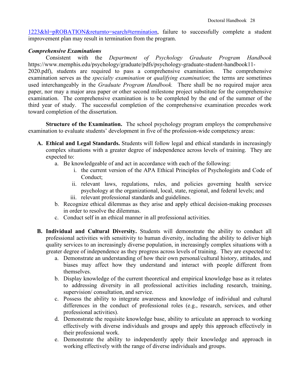[1223&hl=pROBATION&returnto=search#termination,](https://catalog.memphis.edu/content.php?catoid=23&navoid=%201223&hl=pROBATION&returnto=search#termination) failure to successfully complete a student improvement plan may result in termination from the program.

### *Comprehensive Examinations*

toward completion of the dissertation.

Consistent with the *Department of Psychology Graduate Program Handbook* https://www.memphis.edu/psychology/graduate/pdfs/psychology-graduate-student-handbook11- 2020.pdf), students are required to pass a comprehensive examination. The comprehensive examination serves as the *specialty examination* or *qualifying examination*; the terms are sometimes used interchangeably in the *Graduate Program Handbook.* There shall be no required major area paper, nor may a major area paper or other second milestone project substitute for the comprehensive examination. The comprehensive examination is to be completed by the end of the summer of the third year of study. The successful completion of the comprehensive examination precedes work

**Structure of the Examination.** The school psychology program employs the comprehensive examination to evaluate students' development in five of the profession-wide competency areas:

- **A. Ethical and Legal Standards.** Students will follow legal and ethical standards in increasingly complex situations with a greater degree of independence across levels of training. They are expected to:
	- a. Be knowledgeable of and act in accordance with each of the following:
		- i. the current version of the APA Ethical Principles of Psychologists and Code of Conduct;
		- ii. relevant laws, regulations, rules, and policies governing health service psychology at the organizational, local, state, regional, and federal levels; and iii. relevant professional standards and guidelines.
	- b. Recognize ethical dilemmas as they arise and apply ethical decision-making processes
		- in order to resolve the dilemmas.
	- c. Conduct self in an ethical manner in all professional activities.
- **B. Individual and Cultural Diversity.** Students will demonstrate the ability to conduct all professional activities with sensitivity to human diversity, including the ability to deliver high quality services to an increasingly diverse population, in increasingly complex situations with a greater degree of independence as they progress across levels of training. They are expected to:
	- a. Demonstrate an understanding of how their own personal/cultural history, attitudes, and biases may affect how they understand and interact with people different from themselves.
	- b. Display knowledge of the current theoretical and empirical knowledge base as it relates to addressing diversity in all professional activities including research, training, supervision/ consultation, and service.
	- c. Possess the ability to integrate awareness and knowledge of individual and cultural differences in the conduct of professional roles (e.g., research, services, and other professional activities).
	- d. Demonstrate the requisite knowledge base, ability to articulate an approach to working effectively with diverse individuals and groups and apply this approach effectively in their professional work.
	- e. Demonstrate the ability to independently apply their knowledge and approach in working effectively with the range of diverse individuals and groups.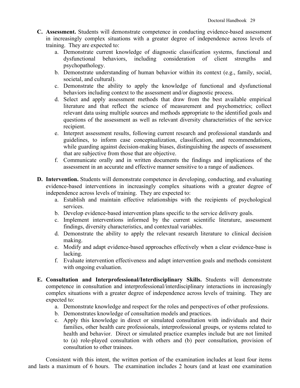- **C. Assessment.** Students will demonstrate competence in conducting evidence-based assessment in increasingly complex situations with a greater degree of independence across levels of training. They are expected to:
	- a. Demonstrate current knowledge of diagnostic classification systems, functional and dysfunctional behaviors, including consideration of client strengths and psychopathology.
	- b. Demonstrate understanding of human behavior within its context (e.g., family, social, societal, and cultural).
	- c. Demonstrate the ability to apply the knowledge of functional and dysfunctional behaviors including context to the assessment and/or diagnostic process.
	- d. Select and apply assessment methods that draw from the best available empirical literature and that reflect the science of measurement and psychometrics; collect relevant data using multiple sources and methods appropriate to the identified goals and questions of the assessment as well as relevant diversity characteristics of the service recipient.
	- e. Interpret assessment results, following current research and professional standards and guidelines, to inform case conceptualization, classification, and recommendations, while guarding against decision-making biases, distinguishing the aspects of assessment that are subjective from those that are objective.
	- f. Communicate orally and in written documents the findings and implications of the assessment in an accurate and effective manner sensitive to a range of audiences.
- **D. Intervention.** Students will demonstrate competence in developing, conducting, and evaluating evidence-based interventions in increasingly complex situations with a greater degree of independence across levels of training. They are expected to:
	- a. Establish and maintain effective relationships with the recipients of psychological services.
	- b. Develop evidence-based intervention plans specific to the service delivery goals.
	- c. Implement interventions informed by the current scientific literature, assessment findings, diversity characteristics, and contextual variables.
	- d. Demonstrate the ability to apply the relevant research literature to clinical decision making.
	- e. Modify and adapt evidence-based approaches effectively when a clear evidence-base is lacking.
	- f. Evaluate intervention effectiveness and adapt intervention goals and methods consistent with ongoing evaluation.
- **E. Consultation and Interprofessional/Interdisciplinary Skills.** Students will demonstrate competence in consultation and interprofessional/interdisciplinary interactions in increasingly complex situations with a greater degree of independence across levels of training. They are expected to:
	- a. Demonstrate knowledge and respect for the roles and perspectives of other professions.
	- b. Demonstrates knowledge of consultation models and practices.
	- c. Apply this knowledge in direct or simulated consultation with individuals and their families, other health care professionals, interprofessional groups, or systems related to health and behavior. Direct or simulated practice examples include but are not limited to (a) role-played consultation with others and (b) peer consultation, provision of consultation to other trainees.

Consistent with this intent, the written portion of the examination includes at least four items and lasts a maximum of 6 hours. The examination includes 2 hours (and at least one examination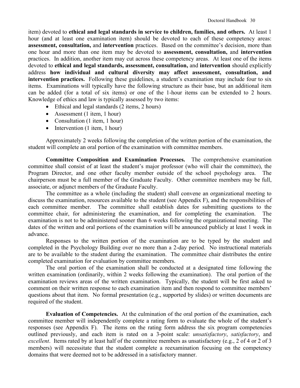item) devoted to **ethical and legal standards in service to children, families, and others.** At least 1 hour (and at least one examination item) should be devoted to each of these competency areas: **assessment, consultation,** and **intervention** practices. Based on the committee's decision, more than one hour and more than one item may be devoted to **assessment, consultation,** and **intervention**  practices. In addition, another item may cut across these competency areas. At least one of the items devoted to **ethical and legal standards, assessment, consultation,** and **intervention** should explicitly address **how individual and cultural diversity may affect assessment, consultation, and intervention practices.** Following these guidelines, a student's examination may include four to six items. Examinations will typically have the following structure as their base, but an additional item can be added (for a total of six items) or one of the 1-hour items can be extended to 2 hours. Knowledge of ethics and law is typically assessed by two items:

- Ethical and legal standards (2 items, 2 hours)
- Assessment (1 item, 1 hour)
- Consultation (1 item, 1 hour)
- Intervention (1 item, 1 hour)

Approximately 2 weeks following the completion of the written portion of the examination, the student will complete an oral portion of the examination with committee members.

**Committee Composition and Examination Processes.**The comprehensive examination committee shall consist of at least the student's major professor (who will chair the committee), the Program Director, and one other faculty member outside of the school psychology area. The chairperson must be a full member of the Graduate Faculty. Other committee members may be full, associate, or adjunct members of the Graduate Faculty.

The committee as a whole (including the student) shall convene an organizational meeting to discuss the examination, resources available to the student (see Appendix F), and the responsibilities of each committee member. The committee shall establish dates for submitting questions to the committee chair, for administering the examination, and for completing the examination. The examination is not to be administered sooner than 6 weeks following the organizational meeting. The dates of the written and oral portions of the examination will be announced publicly at least 1 week in advance.

Responses to the written portion of the examination are to be typed by the student and completed in the Psychology Building over no more than a 2-day period. No instructional materials are to be available to the student during the examination. The committee chair distributes the entire completed examination for evaluation by committee members.

The oral portion of the examination shall be conducted at a designated time following the written examination (ordinarily, within 2 weeks following the examination). The oral portion of the examination reviews areas of the written examination. Typically, the student will be first asked to comment on their written response to each examination item and then respond to committee members' questions about that item. No formal presentation (e.g., supported by slides) or written documents are required of the student.

**Evaluation of Competencies.**At the culmination of the oral portion of the examination, each committee member will independently complete a rating form to evaluate the whole of the student's responses (see Appendix F). The items on the rating form address the six program competencies outlined previously, and each item is rated on a 3-point scale: *unsatisfactory*, *satisfactory*, and *excellent*. Items rated by at least half of the committee members as unsatisfactory (e.g., 2 of 4 or 2 of 3 members) will necessitate that the student complete a reexamination focusing on the competency domains that were deemed not to be addressed in a satisfactory manner.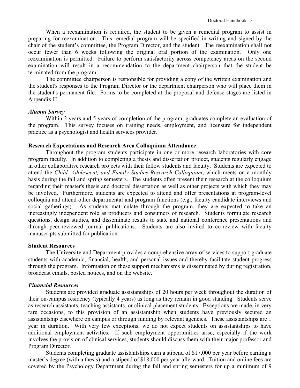When a reexamination is required, the student to be given a remedial program to assist in preparing for reexamination. This remedial program will be specified in writing and signed by the chair of the student's committee, the Program Director, and the student. The reexamination shall not occur fewer than 6 weeks following the original oral portion of the examination. Only one reexamination is permitted. Failure to perform satisfactorily across competency areas on the second examination will result in a recommendation to the department chairperson that the student be terminated from the program.

The committee chairperson is responsible for providing a copy of the written examination and the student's responses to the Program Director or the department chairperson who will place them in the student's permanent file. Forms to be completed at the proposal and defense stages are listed in Appendix H.

### *Alumni Survey*

Within 2 years and 5 years of completion of the program, graduates complete an evaluation of the program. This survey focuses on training needs, employment, and licensure for independent practice as a psychologist and health services provider.

### **Research Expectations and Research Area Colloquium Attendance**

Throughout the program students participate in one or more research laboratories with core program faculty. In addition to completing a thesis and dissertation project, students regularly engage in other collaborative research projects with their fellow students and faculty. Students are expected to attend the *Child, Adolescent, and Family Studies Research Colloquium*, which meets on a monthly basis during the fall and spring semesters. The students often present their research at the colloquium regarding their master's thesis and doctoral dissertation as well as other projects with which they may be involved. Furthermore, students are expected to attend and offer presentations at program-level colloquia and attend other departmental and program functions (e.g., faculty candidate interviews and social gatherings). As students matriculate through the program, they are expected to take an increasingly independent role as producers and consumers of research. Students formulate research questions, design studies, and disseminate results to state and national conference presentations and through peer-reviewed journal publications. Students are also invited to co-review with faculty manuscripts submitted for publication.

### **Student Resources**

The University and Department provides a comprehensive array of services to support graduate students with academic, financial, health, and personal issues and thereby facilitate student progress through the program. Information on these support mechanisms is disseminated by during registration, broadcast emails, posted notices, and on the website.

### *Financial Resources*

Students are provided graduate assistantships of 20 hours per week throughout the duration of their on-campus residency (typically 4 years) as long as they remain in good standing. Students serve as research assistants, teaching assistants, or clinical placement students. Exceptions are made, in very rare occasions, to this provision of an assistantship when students have previously secured an assistantship elsewhere on campus or through funding by relevant agencies. These assistantships are 1 year in duration. With very few exceptions, we do not expect students on assistantships to have additional employment activities. If such employment opportunities arise, especially if the work involves the provision of clinical services, students should discuss them with their major professor and Program Director.

Students completing graduate assistantships earn a stipend of \$17,000 per year before earning a master's degree (with a thesis) and a stipend of \$18,000 per year afterward. Tuition and online fees are covered by the Psychology Department during the fall and spring semesters for up a minimum of 9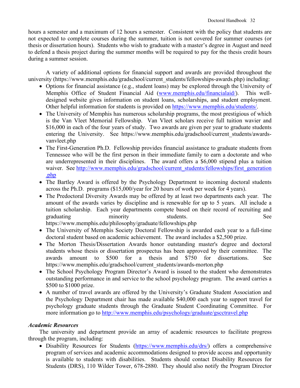hours a semester and a maximum of 12 hours a semester. Consistent with the policy that students are not expected to complete courses during the summer, tuition is not covered for summer courses (or thesis or dissertation hours). Students who wish to graduate with a master's degree in August and need to defend a thesis project during the summer months will be required to pay for the thesis credit hours during a summer session.

A variety of additional options for financial support and awards are provided throughout the university (https://www.memphis.edu/gradschool/current\_students/fellowships-awards.php) including:

- Options for financial assistance (e.g., student loans) may be explored through the University of Memphis Office of Student Financial Aid [\(www.memphis.edu/financialaid/\)](http://www.memphis.edu/financialaid/). This welldesigned website gives information on student loans, scholarships, and student employment. Other helpful information for students is provided on [https://www.memphis.edu/students/.](https://www.memphis.edu/students/)
- The University of Memphis has numerous scholarship programs, the most prestigious of which is the Van Vleet Memorial Fellowship. Van Vleet scholars receive full tuition wavier and \$16,000 in each of the four years of study. Two awards are given per year to graduate students entering the University. See https://www.memphis.edu/gradschool/current students/awardsvanvleet.php
- The First-Generation Ph.D. Fellowship provides financial assistance to graduate students from Tennessee who will be the first person in their immediate family to earn a doctorate and who are underrepresented in their disciplines. The award offers a \$6,000 stipend plus a tuition waiver. See http://www.memphis.edu/gradschool/current\_students/fellowships/first\_generation [.php](http://www.memphis.edu/gradschool/current_students/fellowships/first_generation%20.php)
- The Bartley Award is offered by the Psychology Department to incoming doctoral students across the Ph.D. programs (\$15,000/year for 20 hours of work per week for 4 years).
- The Predoctoral Diversity Awards may be offered by at least two departments each year. The amount of the awards varies by discipline and is renewable for up to 5 years. All include a tuition scholarship. Each year departments compete based on their record of recruiting and graduating minority students. See

https://www.memphis.edu/philosophy/graduate/fellowships.php

- The University of Memphis Society Doctoral Fellowship is awarded each year to a full-time doctoral student based on academic achievement. The award includes a \$2,500 prize.
- The Morton Thesis/Dissertation Awards honor outstanding master's degree and doctoral students whose thesis or dissertation prospectus has been approved by their committee. The awards amount to \$500 for a thesis and \$750 for dissertations. See https://www.memphis.edu/gradschool/current\_students/awards-morton.php
- The School Psychology Program Director's Award is issued to the student who demonstrates outstanding performance in and service to the school psychology program. The award carries a \$500 to \$1000 prize.
- A number of travel awards are offered by the University's Graduate Student Association and the Psychology Department chair has made available \$40,000 each year to support travel for psychology graduate students through the Graduate Student Coordinating Committee. For more information go to<http://www.memphis.edu/psychology/graduate/gscctravel.php>

# *Academic Resources*

The university and department provide an array of academic resources to facilitate progress through the program, including:

• Disability Resources for Students [\(https://www.memphis.edu/drs/\)](https://www.memphis.edu/drs/) offers a comprehensive program of services and academic accommodations designed to provide access and opportunity is available to students with disabilities. Students should contact Disability Resources for Students (DRS), 110 Wilder Tower, 678-2880. They should also notify the Program Director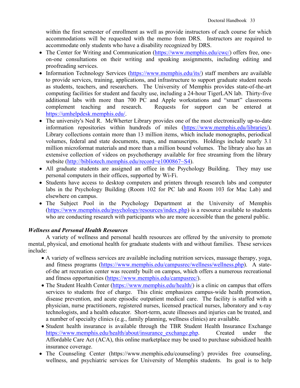within the first semester of enrollment as well as provide instructors of each course for which accommodations will be requested with the memo from DRS. Instructors are required to accommodate only students who have a disability recognized by DRS.

- The Center for Writing and Communication [\(https://www.memphis.edu/cwc/\)](https://www.memphis.edu/cwc/) offers free, oneon-one consultations on their writing and speaking assignments, including editing and proofreading services.
- Information Technology Services [\(https://www.memphis.edu/its/\)](https://www.memphis.edu/its/) staff members are available to provide services, training, applications, and infrastructure to support graduate student needs as students, teachers, and researchers. The University of Memphis provides state-of-the-art computing facilities for student and faculty use, including a 24-hour TigerLAN lab. Thirty-five additional labs with more than 700 PC and Apple workstations and "smart" classrooms complement teaching and research. Requests for support can be entered at [https://umhelpdesk.memphis.edu/.](https://umhelpdesk.memphis.edu/)
- The university's Ned R. McWherter Library provides one of the most electronically up-to-date information repositories within hundreds of miles [\(https://www.memphis.edu/libraries/\)](https://www.memphis.edu/libraries/). Library collections contain more than 13 million items, which include monographs, periodical volumes, federal and state documents, maps, and manuscripts. Holdings include nearly 3.1 million microformat materials and more than a million bound volumes. The library also has an extensive collection of videos on psychotherapy available for free streaming from the library website [\(http://bibliotech.memphis.edu/record=e1000867~S4\)](http://bibliotech.memphis.edu/record=e1000867%7ES4).
- All graduate students are assigned an office in the Psychology Building. They may use personal computers in their offices, supported by Wi-Fi.
- Students have access to desktop computers and printers through research labs and computer labs in the Psychology Building (Room 102 for PC lab and Room 103 for Mac Lab) and elsewhere on campus.
- The Subject Pool in the Psychology Department at the University of Memphis [\(https://www.memphis.edu/psychology/resources/index.php\)](https://www.memphis.edu/psychology/resources/index.php) is a resource available to students who are conducting research with participants who are more accessible than the general public.

# *Wellness and Personal Health Resources*

A variety of wellness and personal health resources are offered by the university to promote mental, physical, and emotional health for graduate students with and without families. These services include:

- A variety of wellness services are available including nutrition services, massage therapy, yoga, and fitness programs [\(https://www.memphis.edu/campusrec/wellness/wellness.php\)](https://www.memphis.edu/campusrec/wellness/wellness.php). A stateof-the art recreation center was recently built on campus, which offers a numerous recreational and fitness opportunities [\(https://www.memphis.edu/campusrec/\)](https://www.memphis.edu/campusrec/).
- The Student Health Center [\(https://www.memphis.edu/health/\)](https://www.memphis.edu/health/) is a clinic on campus that offers services to students free of charge. This clinic emphasizes campus-wide health promotion, disease prevention, and acute episodic outpatient medical care. The facility is staffed with a physician, nurse practitioners, registered nurses, licensed practical nurses, laboratory and x-ray technologists, and a health educator. Short-term, acute illnesses and injuries can be treated, and a number of specialty clinics (e.g., family planning, wellness clinics) are available.
- Student health insurance is available through the TBR Student Health Insurance Exchange [https://www.memphis.edu/health/about/insurance\\_exchange.php.](https://www.memphis.edu/health/about/insurance_exchange.php) Created under the Affordable Care Act (ACA), this online marketplace may be used to purchase subsidized health insurance coverage.
- The Counseling Center (https://www.memphis.edu/counseling/) provides free counseling, wellness, and psychiatric services for University of Memphis students. Its goal is to help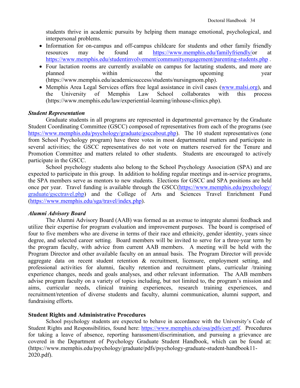students thrive in academic pursuits by helping them manage emotional, psychological, and interpersonal problems.

- Information for on-campus and off-campus childcare for students and other family friendly resources may be found at [https://www.memphis.edu/familyfriendly/o](https://www.memphis.edu/familyfriendly/)r at <https://www.memphis.edu/studentinvolvement/communityengagement/parenting-students.php> .
- Four lactation rooms are currently available on campus for lactating students, and more are planned within the upcoming year (https://www.memphis.edu/academicsuccess/students/nursingmom.php).
- Memphis Area Legal Services offers free legal assistance in civil cases [\(www.malsi.org\)](http://www.malsi.org/), and the University of Memphis Law School collaborates with this process (https://www.memphis.edu/law/experiential-learning/inhouse-clinics.php).

### *Student Representation*

Graduate students in all programs are represented in departmental governance by the Graduate Student Coordinating Committee (GSCC) composed of representatives from each of the programs (see [https://www.memphis.edu/psychology/graduate/gsccabout.php\)](https://www.memphis.edu/psychology/graduate/gsccabout.php). The 10 student representatives (one from School Psychology program) have three votes in most departmental matters and participate in several activities; the GSCC representatives do not vote on matters reserved for the Tenure and Promotion Committee and matters related to other students. Students are encouraged to actively participate in the GSCC.

School psychology students also belong to the School Psychology Association (SPA) and are expected to participate in this group. In addition to holding regular meetings and in-service programs, the SPA members serve as mentors to new students. Elections for GSCC and SPA positions are held once per year. Travel funding is available through the GSCC[\(https://www.memphis.edu/psychology/](https://www.memphis.edu/psychology/graduate/gscctravel.php) graduate/gscctravel.php) and the College of Arts and Sciences Travel Enrichment Fund [\(https://www.memphis.edu/sga/travel/index.php\)](https://www.memphis.edu/sga/travel/index.php).

### *Alumni Advisory Board*

The Alumni Advisory Board (AAB) was formed as an avenue to integrate alumni feedback and utilize their expertise for program evaluation and improvement purposes. The board is comprised of four to five members who are diverse in terms of their race and ethnicity, gender identity, years since degree, and selected career setting. Board members will be invited to serve for a three-year term by the program faculty, with advice from current AAB members. A meeting will be held with the Program Director and other available faculty on an annual basis. The Program Director will provide aggregate data on recent student retention & recruitment, licensure, employment setting, and professional activities for alumni, faculty retention and recruitment plans, curricular /training experience changes, needs and goals analyses, and other relevant information. The AAB members advise program faculty on a variety of topics including, but not limited to, the program's mission and aims, curricular needs, clinical training experiences, research training experiences, and recruitment/retention of diverse students and faculty, alumni communication, alumni support, and fundraising efforts.

### **Student Rights and Administrative Procedures**

School psychology students are expected to behave in accordance with the University's Code of Student Rights and Responsibilities, found here: [https://www.memphis.edu/osa/pdfs/csrr.pdf.](https://www.memphis.edu/osa/pdfs/csrr.pdf) Procedures for taking a leave of absence, reporting harassment/discrimination, and pursuing a grievance are covered in the Department of Psychology Graduate Student Handbook, which can be found at: (https://www.memphis.edu/psychology/graduate/pdfs/psychology-graduate-student-handbook11- 2020.pdf).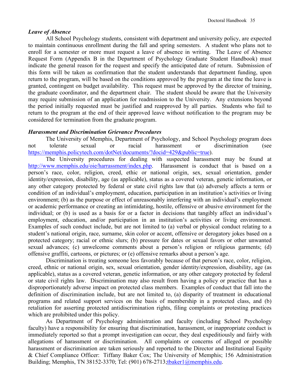### *Leave of Absence*

All School Psychology students, consistent with department and university policy, are expected to maintain continuous enrollment during the fall and spring semesters. A student who plans not to enroll for a semester or more must request a leave of absence in writing. The Leave of Absence Request Form (Appendix B in the Department of Psychology Graduate Student Handbook) must indicate the general reason for the request and specify the anticipated date of return. Submission of this form will be taken as confirmation that the student understands that department funding, upon return to the program, will be based on the conditions approved by the program at the time the leave is granted, contingent on budget availability. This request must be approved by the director of training, the graduate coordinator, and the department chair. The student should be aware that the University may require submission of an application for readmission to the University. Any extensions beyond the period initially requested must be justified and reapproved by all parties. Students who fail to return to the program at the end of their approved leave without notification to the program may be considered for termination from the graduate program.

### *Harassment and Discrimination Grievance Procedures*

The University of Memphis, Department of Psychology, and School Psychology program does not tolerate sexual or racial harassment or discrimination (see [https://memphis.policytech.com/dotNet/documents/?docid=429&public=true\)](https://memphis.policytech.com/dotNet/documents/?docid=429&public=true).

The University procedures for dealing with suspected harassment may be found at [http://www.memphis.edu/oie/harrassment/index.php.](http://www.memphis.edu/oie/harrassment/index.php) Harassment is conduct that is based on a person's race, color, religion, creed, ethic or national origin, sex, sexual orientation, gender identity/expression, disability, age (as applicable), status as a covered veteran, genetic information, or any other category protected by federal or state civil rights law that (a) adversely affects a term or condition of an individual's employment, education, participation in an institution's activities or living environment; (b) as the purpose or effect of unreasonably interfering with an individual's employment or academic performance or creating an intimidating, hostile, offensive or abusive environment for the individual; or (b) is used as a basis for or a factor in decisions that tangibly affect an individual's employment, education, and/or participation in an institution's activities or living environment. Examples of such conduct include, but are not limited to (a) verbal or physical conduct relating to a student's national origin, race, surname, skin color or accent, offensive or derogatory jokes based on a protected category; racial or ethnic slurs; (b) pressure for dates or sexual favors or other unwanted sexual advances; (c) unwelcome comments about a person's religion or religious garments; (d) offensive graffiti, cartoons, or pictures; or (e) offensive remarks about a person's age.

Discrimination is treating someone less favorably because of that person's race, color, religion, creed, ethnic or national origin, sex, sexual orientation, gender identity/expression, disability, age (as applicable), status as a covered veteran, genetic information, or any other category protected by federal or state civil rights law. Discrimination may also result from having a policy or practice that has a disproportionately adverse impact on protected class members. Examples of conduct that fall into the definition of discrimination include, but are not limited to, (a) disparity of treatment in educational programs and related support services on the basis of membership in a protected class, and (b) retaliation for asserting protected antidiscrimination rights, filing complaints or protesting practices which are prohibited under this policy.

As Department of Psychology administration and faculty (including School Psychology faculty) have a responsibility for ensuring that discrimination, harassment, or inappropriate conduct is immediately reported so that a prompt investigation can occur, they deal expeditiously and fairly with allegations of harassment or discrimination. All complaints or concerns of alleged or possible harassment or discrimination are taken seriously and reported to the Director and Institutional Equity & Chief Compliance Officer: Tiffany Baker Cox; The University of Memphis; 156 Administration Building; Memphis, TN 38152-3370; Tel: (901) 678-2713[;tbaker1@memphis.edu.](mailto:tbaker1@memphis.edu)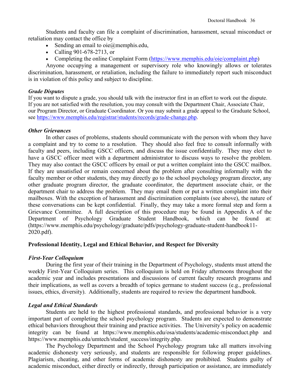Students and faculty can file a complaint of discrimination, harassment, sexual misconduct or retaliation may contact the office by

- Sending an email to  $oie@$ memphis.edu,
- Calling 901-678-2713, or
- Completing the online [Complaint Form](https://dynamicforms.ngwebsolutions.com/ShowForm.aspx?RequestedDynamicFormTemplate=13f91a43-687d-4d2a-943f-d898873fe9f1) [\(https://www.memphis.edu/oie/complaint.php\)](https://www.memphis.edu/oie/complaint.php)

Anyone occupying a management or supervisory role who knowingly allows or tolerates discrimination, harassment, or retaliation, including the failure to immediately report such misconduct is in violation of this policy and subject to discipline.

### *Grade Disputes*

If you want to dispute a grade, you should talk with the instructor first in an effort to work out the dispute. If you are not satisfied with the resolution, you may consult with the Department Chair, Associate Chair, our Program Director, or Graduate Coordinator. Or you may submit a grade appeal to the Graduate School, see [https://www.memphis.edu/registrar/students/records/grade-change.php.](https://www.memphis.edu/registrar/students/records/grade-change.php)

### *Other Grievances*

In other cases of problems, students should communicate with the person with whom they have a complaint and try to come to a resolution. They should also feel free to consult informally with faculty and peers, including GSCC officers, and discuss the issue confidentially. They may elect to have a GSCC officer meet with a department administrator to discuss ways to resolve the problem. They may also contact the GSCC officers by email or put a written complaint into the GSCC mailbox. If they are unsatisfied or remain concerned about the problem after consulting informally with the faculty member or other students, they may directly go to the school psychology program director, any other graduate program director, the graduate coordinator, the department associate chair, or the department chair to address the problem. They may email them or put a written complaint into their mailboxes. With the exception of harassment and discrimination complaints (see above), the nature of these conversations can be kept confidential. Finally, they may take a more formal step and form a Grievance Committee. A full description of this procedure may be found in Appendix A of the Department of Psychology Graduate Student Handbook, which can be found at: Department of Psychology Graduate Student Handbook, which can be found at: (https://www.memphis.edu/psychology/graduate/pdfs/psychology-graduate-student-handbook11- 2020.pdf).

### **Professional Identity, Legal and Ethical Behavior, and Respect for Diversity**

### *First-Year Colloquium*

During the first year of their training in the Department of Psychology, students must attend the weekly First-Year Colloquium series. This colloquium is held on Friday afternoons throughout the academic year and includes presentations and discussions of current faculty research programs and their implications, as well as covers a breadth of topics germane to student success (e.g., professional issues, ethics, diversity). Additionally, students are required to review the department handbook.

# *Legal and Ethical Standards*

Students are held to the highest professional standards, and professional behavior is a very important part of completing the school psychology program. Students are expected to demonstrate ethical behaviors throughout their training and practice activities. The University's policy on academic integrity can be found at https://www.memphis.edu/osa/students/academic-misconduct.php and https://www.memphis.edu/umtech/student\_success/integrity.php.

The Psychology Department and the School Psychology program take all matters involving academic dishonesty very seriously, and students are responsible for following proper guidelines. Plagiarism, cheating, and other forms of academic dishonesty are prohibited. Students guilty of academic misconduct, either directly or indirectly, through participation or assistance, are immediately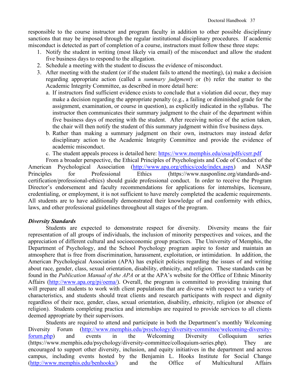responsible to the course instructor and program faculty in addition to other possible disciplinary sanctions that may be imposed through the regular institutional disciplinary procedures. If academic misconduct is detected as part of completion of a course, instructors must follow these three steps:

- 1. Notify the student in writing (most likely via email) of the misconduct and allow the student five business days to respond to the allegation.
- 2. Schedule a meeting with the student to discuss the evidence of misconduct.
- 3. After meeting with the student (or if the student fails to attend the meeting), (a) make a decision regarding appropriate action (called a *summary judgment*) or (b) refer the matter to the Academic Integrity Committee, as described in more detail here:
	- a. If instructors find sufficient evidence exists to conclude that a violation did occur, they may make a decision regarding the appropriate penalty (e.g., a failing or diminished grade for the assignment, examination, or course in question), as explicitly indicated in the syllabus. The instructor then communicates their summary judgment to the chair of the department within five business days of meeting with the student. After receiving notice of the action taken, the chair will then notify the student of this summary judgment within five business days.
	- b. Rather than making a summary judgment on their own, instructors may instead defer disciplinary action to the Academic Integrity Committee and provide the evidence of academic misconduct.
	- c. The student appeals process is detailed here:<https://www.memphis.edu/osa/pdfs/csrr.pdf>

From a broader perspective, the Ethical Principles of Psychologists and Code of Conduct of the American Psychological Association [\(http://www.apa.org/ethics/code/index.aspx\)](http://www.apa.org/ethics/code/index.aspx) and NASP Principles for Professional Ethics (https://www.nasponline.org/standards-andcertification/professional-ethics) should guide professional conduct. In order to receive the Program Director's endorsement and faculty recommendations for applications for internships, licensure, credentialing, or employment, it is not sufficient to have merely completed the academic requirements. All students are to have additionally demonstrated their knowledge of and conformity with ethics, laws, and other professional guidelines throughout all stages of the program.

### *Diversity Standards*

Students are expected to demonstrate respect for diversity. Diversity means the fair representation of all groups of individuals, the inclusion of minority perspectives and voices, and the appreciation of different cultural and socioeconomic group practices. The University of Memphis, the Department of Psychology, and the School Psychology program aspire to foster and maintain an atmosphere that is free from discrimination, harassment, exploitation, or intimidation. In addition, the American Psychological Association (APA) has explicit policies regarding the issues of and writing about race, gender, class, sexual orientation, disability, ethnicity, and religion. These standards can be found in the *Publication Manual of the APA* or at the APA's website for the Office of Ethnic Minority Affairs [\(http://www.apa.org/pi/oema/](http://www.apa.org/pi/oema/)[\).](http://www.apa.org/pi/oema/)) Overall, the program is committed to providing training that will prepare all students to work with client populations that are diverse with respect to a variety of characteristics, and students should treat clients and research participants with respect and dignity regardless of their race, gender, class, sexual orientation, disability, ethnicity, religion (or absence of religion). Students completing practica and internships are required to provide services to all clients deemed appropriate by their supervisors.

Students are required to attend and participate in both the Department's monthly Welcoming Diversity Forum [\(http://www.memphis.edu/psychology/diversity-committee/welcoming-diversity](http://www.memphis.edu/psychology/diversity-committee/welcoming-diversity-forum.php)[forum.php\)](http://www.memphis.edu/psychology/diversity-committee/welcoming-diversity-forum.php) and events in the Welcoming Diversity Colloquium series (https://www.memphis.edu/psychology/diversity-committee/colloquium-series.php). They are encouraged to support other diversity, inclusion, and equity initiatives in the department and across campus, including events hosted by the Benjamin L. Hooks Institute for Social Change [\(http://www.memphis.edu/benhooks/\)](http://www.memphis.edu/benhooks/) and the Office of Multicultural Affairs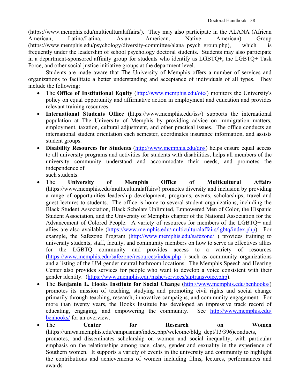(https://www.memphis.edu/multiculturalaffairs/). They may also participate in the ALANA (African American, Latino/Latina, Asian American, Native American) Group (https://www.memphis.edu/psychology/diversity-committee/alana\_psych\_group.php), which is frequently under the leadership of school psychology doctoral students. Students may also participate in a department-sponsored affinity group for students who identify as LGBTQ+, the LGBTQ+ Task Force, and other social justice initiative groups at the department level.

Students are made aware that The University of Memphis offers a number of services and organizations to facilitate a better understanding and acceptance of individuals of all types. They include the following:

- The **Office of Institutional Equity** [\(http://www.memphis.edu/oie/\)](http://www.memphis.edu/oie/) monitors the University's policy on equal opportunity and affirmative action in employment and education and provides relevant training resources.
- **International Students Office (**https://www.memphis.edu/iss/) supports the international population at The University of Memphis by providing advice on immigration matters, employment, taxation, cultural adjustment, and other practical issues. The office conducts an international student orientation each semester, coordinates insurance information, and assists student groups.
- **Disability Resources for Students** [\(http://www.memphis.edu/drs/\)](http://www.memphis.edu/drs/) helps ensure equal access to all university programs and activities for students with disabilities, helps all members of the university community understand and accommodate their needs, and promotes the independence of such students.
- The **University of Memphis Office of Multicultural Affairs** (https://www.memphis.edu/multiculturalaffairs/) promotes diversity and inclusion by providing a range of opportunities leadership development, programs, events, scholarships, travel and guest lectures to students. The office is home to several student organizations, including the Black Student Association, Black Scholars Unlimited, Empowered Men of Color, the Hispanic Student Association, and the University of Memphis chapter of the National Association for the Advancement of Colored People. A variety of resources for members of the LGBTQ+ and allies are also available [\(https://www.memphis.edu/multiculturalaffairs/lgbtq/index.php\)](https://www.memphis.edu/multiculturalaffairs/lgbtq/index.php). For example, the Safezone Program [\(http://www.memphis.edu/safezone/](http://www.memphis.edu/safezone/)) provides training to university students, staff, faculty, and community members on how to serve as effectives allies for the LGBTQ community and provides access to a variety of resources [\(https://www.memphis.edu/safezone/resources/index.php](https://www.memphis.edu/safezone/resources/index.php) ) such as community organizations and a listing of the UM gender neutral bathroom locations. The Memphis Speech and Hearing Center also provides services for people who want to develop a voice consistent with their gender identity. [\(https://www.memphis.edu/mshc/services/slptransvoice.php\)](https://www.memphis.edu/mshc/services/slptransvoice.php).
- The **Benjamin L. Hooks Institute for Social Change** [\(http://www.memphis.edu/benhooks/\)](http://www.memphis.edu/benhooks/) promotes its mission of teaching, studying and promoting civil rights and social change primarily through teaching, research, innovative campaigns, and community engagement. For more than twenty years, the Hooks Institute has developed an impressive track record of educating, engaging, and empowering the community. See [http://www.memphis.edu/](http://www.memphis.edu/%20benhooks/)  [benhooks/](http://www.memphis.edu/%20benhooks/) for an overview.
- The **Center for Research on Women**  (https://umwa.memphis.edu/campusmap/index.php/welcome/bldg\_dept/13/396)conducts, promotes, and disseminates scholarship on women and social inequality, with particular emphasis on the relationships among race, class, gender and sexuality in the experience of Southern women. It supports a variety of events in the university and community to highlight the contributions and achievements of women including films, lectures, performances and awards.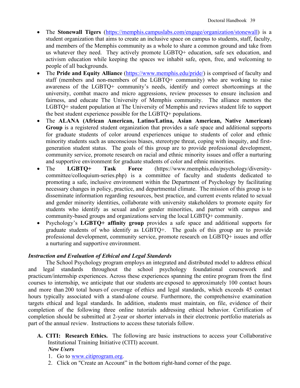- The **Stonewall Tigers** [\(https://memphis.campuslabs.com/engage/organization/stonewall\)](https://memphis.campuslabs.com/engage/organization/stonewall) is a student organization that aims to create an inclusive space on campus to students, staff, faculty, and members of the Memphis community as a whole to share a common ground and take from us whatever they need. They actively promote LGBTQ+ education, safe sex education, and activism education while keeping the spaces we inhabit safe, open, free, and welcoming to people of all backgrounds.
- The **Pride and Equity Alliance** [\(https://www.memphis.edu/pride/\)](https://www.memphis.edu/pride/) is comprised of faculty and staff (members and non-members of the LGBTQ+ community) who are working to raise awareness of the LGBTQ+ community's needs, identify and correct shortcomings at the university, combat macro and micro aggressions, review processes to ensure inclusion and fairness, and educate The University of Memphis community. The alliance mentors the LGBTQ+ student population at The University of Memphis and reviews student life to support the best student experience possible for the LGBTQ+ populations.
- The **ALANA (African American, Latino/Latina, Asian American, Native American) Group** is a registered student organization that provides a safe space and additional supports for graduate students of color around experiences unique to students of color and ethnic minority students such as unconscious biases, stereotype threat, coping with inequity, and firstgeneration student status. The goals of this group are to provide professional development, community service, promote research on racial and ethnic minority issues and offer a nurturing and supportive environment for graduate students of color and ethnic minorities.
- The **LGBTQ+ Task Force** (https://www.memphis.edu/psychology/diversitycommittee/colloquium-series.php) is a committee of faculty and students dedicated to promoting a safe, inclusive environment within the Department of Psychology by facilitating necessary changes in policy, practice, and departmental climate. The mission of this group is to disseminate information regarding resources, best practice, and current events related to sexual and gender minority identities, collaborate with university stakeholders to promote equity for students who identify as sexual and/or gender minorities, and partner with campus and community-based groups and organizations serving the local LGBTQ+ community.
- Psychology's **LGBTQ+ affinity group** provides a safe space and additional supports for graduate students of who identify as LGBTQ+. The goals of this group are to provide professional development, community service, promote research on LGBTQ+ issues and offer a nurturing and supportive environment.

# *Instruction and Evaluation of Ethical and Legal Standards*

The School Psychology program employs an integrated and distributed model to address ethical and legal standards throughout the school psychology foundational coursework and practicum/internship experiences. Across these experiences spanning the entire program from the first courses to internship, we anticipate that our students are exposed to approximately 100 contact hours and more than 200 total hours of coverage of ethics and legal standards, which exceeds 45 contact hours typically associated with a stand-alone course. Furthermore, the comprehensive examination targets ethical and legal standards. In addition, students must maintain, on file, evidence of their completion of the following three online tutorials addressing ethical behavior. Certification of completion should be submitted at 2-year or shorter intervals in their electronic portfolio materials as part of the annual review. Instructions to access these tutorials follow.

- **A. CITI: Research Ethics.** The following are basic instructions to access your Collaborative Institutional Training Initiative (CITI) account. *New Users*
	- 1. Go to [www.citiprogram.org.](https://www.citiprogram.org/)
	- 2. Click on "Create an Account" in the bottom right-hand corner of the page.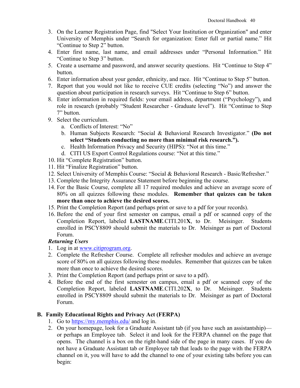- 3. On the Learner Registration Page, find "Select Your Institution or Organization" and enter University of Memphis under "Search for organization: Enter full or partial name." Hit "Continue to Step 2" button.
- 4. Enter first name, last name, and email addresses under "Personal Information." Hit "Continue to Step 3" button.
- 5. Create a username and password, and answer security questions. Hit "Continue to Step 4" button.
- 6. Enter information about your gender, ethnicity, and race. Hit "Continue to Step 5" button.
- 7. Report that you would not like to receive CUE credits (selecting "No") and answer the question about participation in research surveys. Hit "Continue to Step 6" button.
- 8. Enter information in required fields: your email address, department ("Psychology"), and role in research (probably "Student Researcher - Graduate level"). Hit "Continue to Step 7" button.
- 9. Select the curriculum.
	- a. Conflicts of Interest: "No"
	- b. Human Subjects Research: "Social & Behavioral Research Investigator." **(Do not select "Students conducting no more than minimal risk research.").**
	- c. Health Information Privacy and Security (HIPS): "Not at this time."
	- d. CITI US Export Control Regulations course: "Not at this time."
- 10. Hit "Complete Registration" button.
- 11. Hit "Finalize Registration" button.
- 12. Select University of Memphis Course: "Social & Behavioral Research Basic/Refresher."
- 13. Complete the Integrity Assurance Statement before beginning the course.
- 14. For the Basic Course, complete all 17 required modules and achieve an average score of 80% on all quizzes following these modules. **Remember that quizzes can be taken more than once to achieve the desired scores.**
- 15. Print the Completion Report (and perhaps print or save to a pdf for your records).
- 16. Before the end of your first semester on campus, email a pdf or scanned copy of the Completion Report, labeled **LASTNAME**.CITI.201**X**, to Dr. Meisinger. Students enrolled in PSCY8809 should submit the materials to Dr. Meisinger as part of Doctoral Forum.

# *Returning Users*

- 1. Log in at [www.citiprogram.org.](https://www.citiprogram.org/)
- 2. Complete the Refresher Course. Complete all refresher modules and achieve an average score of 80% on all quizzes following these modules. Remember that quizzes can be taken more than once to achieve the desired scores.
- 3. Print the Completion Report (and perhaps print or save to a pdf).
- 4. Before the end of the first semester on campus, email a pdf or scanned copy of the Completion Report, labeled **LASTNAME**.CITI.202**X**, to Dr. Meisinger. Students enrolled in PSCY8809 should submit the materials to Dr. Meisinger as part of Doctoral Forum.

# **B. Family Educational Rights and Privacy Act (FERPA)**

- 1. Go to<https://my.memphis.edu/> and log in.
- 2. On your homepage, look for a Graduate Assistant tab (if you have such an assistantship) or perhaps an Employee tab. Select it and look for the FERPA channel on the page that opens. The channel is a box on the right-hand side of the page in many cases. If you do not have a Graduate Assistant tab or Employee tab that leads to the page with the FERPA channel on it, you will have to add the channel to one of your existing tabs before you can begin: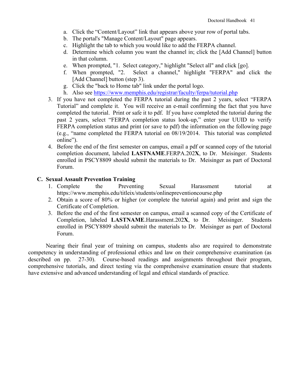- a. Click the "Content/Layout" link that appears above your row of portal tabs.
- b. The portal's "Manage Content/Layout" page appears.
- c. Highlight the tab to which you would like to add the FERPA channel.
- d. Determine which column you want the channel in; click the [Add Channel] button in that column.
- e. When prompted, "1. Select category," highlight "Select all" and click [go].
- f. When prompted, "2. Select a channel," highlight "FERPA" and click the [Add Channel] button (step 3).
- g. Click the "back to Home tab" link under the portal logo.
- h. Also see<https://www.memphis.edu/registrar/faculty/ferpa/tutorial.php>
- 3. If you have not completed the FERPA tutorial during the past 2 years, select "FERPA Tutorial" and complete it. You will receive an e-mail confirming the fact that you have completed the tutorial. Print or safe it to pdf. If you have completed the tutorial during the past 2 years, select "FERPA completion status look-up," enter your UUID to verify FERPA completion status and print (or save to pdf) the information on the following page (e.g., "name completed the FERPA tutorial on 08/19/2014. This tutorial was completed online").
- 4. Before the end of the first semester on campus, email a pdf or scanned copy of the tutorial completion document, labeled **LASTNAME**.FERPA.202**X**, to Dr. Meisinger. Students enrolled in PSCY8809 should submit the materials to Dr. Meisinger as part of Doctoral Forum.

# **C. Sexual Assault Prevention Training**

- 1. Complete the Preventing Sexual Harassment tutorial at https://www.memphis.edu/titleix/students/onlinepreventioncourse.php
- 2. Obtain a score of 80% or higher (or complete the tutorial again) and print and sign the Certificate of Completion.
- 3. Before the end of the first semester on campus, email a scanned copy of the Certificate of Completion, labeled **LASTNAME**.Harassment.202**X**, to Dr. Meisinger. Students enrolled in PSCY8809 should submit the materials to Dr. Meisinger as part of Doctoral Forum.

Nearing their final year of training on campus, students also are required to demonstrate competency in understanding of professional ethics and law on their comprehensive examination (as described on pp. 27-30). Course-based readings and assignments throughout their program, comprehensive tutorials, and direct testing via the comprehensive examination ensure that students have extensive and advanced understanding of legal and ethical standards of practice.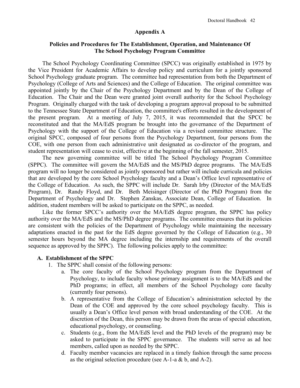### **Appendix A**

### **Policies and Procedures for The Establishment, Operation, and Maintenance Of The School Psychology Program Committee**

The School Psychology Coordinating Committee (SPCC) was originally established in 1975 by the Vice President for Academic Affairs to develop policy and curriculum for a jointly sponsored School Psychology graduate program. The committee had representation from both the Department of Psychology (College of Arts and Sciences) and the College of Education. The original committee was appointed jointly by the Chair of the Psychology Department and by the Dean of the College of Education. The Chair and the Dean were granted joint overall authority for the School Psychology Program. Originally charged with the task of developing a program approval proposal to be submitted to the Tennessee State Department of Education, the committee's efforts resulted in the development of the present program. At a meeting of July 7, 2015, it was recommended that the SPCC be reconstituted and that the MA/EdS program be brought into the governance of the Department of Psychology with the support of the College of Education via a revised committee structure. The original SPCC, composed of four persons from the Psychology Department, four persons from the COE, with one person from each administrative unit designated as co-director of the program, and student representation will cease to exist, effective at the beginning of the fall semester, 2015.

The new governing committee will be titled The School Psychology Program Committee (SPPC). The committee will govern the MA/EdS and the MS/PhD degree programs. The MA/EdS program will no longer be considered as jointly sponsored but rather will include curricula and policies that are developed by the core School Psychology faculty and a Dean's Office level representative of the College of Education. As such, the SPPC will include Dr. Sarah Irby (Director of the MA/EdS Program), Dr. Randy Floyd, and Dr. Beth Meisinger (Director of the PhD Program) from the Department of Psychology and Dr. Stephen Zanskas, Associate Dean, College of Education. In addition, student members will be asked to participate on the SPPC, as needed.

Like the former SPCC's authority over the MA/EdS degree program, the SPPC has policy authority over the MA/EdS and the MS/PhD degree programs. The committee ensures that its policies are consistent with the policies of the Department of Psychology while maintaining the necessary adaptations enacted in the past for the EdS degree governed by the College of Education (e.g., 30 semester hours beyond the MA degree including the internship and requirements of the overall sequence as approved by the SPPC). The following policies apply to the committee:

### **A. Establishment of the SPPC**

- 1. The SPPC shall consist of the following persons:
	- a. The core faculty of the School Psychology program from the Department of Psychology, to include faculty whose primary assignment is to the MA/EdS and the PhD programs; in effect, all members of the School Psychology core faculty (currently four persons).
	- b. A representative from the College of Education's administration selected by the Dean of the COE and approved by the core school psychology faculty. This is usually a Dean's Office level person with broad understanding of the COE. At the discretion of the Dean, this person may be drawn from the areas of special education, educational psychology, or counseling.
	- c. Students (e.g., from the MA/EdS level and the PhD levels of the program) may be asked to participate in the SPPC governance. The students will serve as ad hoc members, called upon as needed by the SPPC.
	- d. Faculty member vacancies are replaced in a timely fashion through the same process as the original selection procedure (see A-1-a & b, and A-2).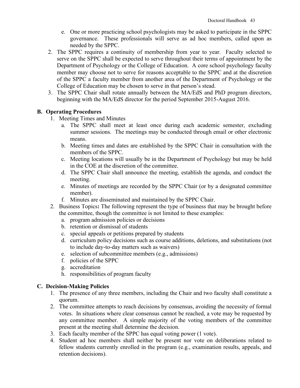- e. One or more practicing school psychologists may be asked to participate in the SPPC governance. These professionals will serve as ad hoc members, called upon as needed by the SPPC.
- 2. The SPPC requires a continuity of membership from year to year. Faculty selected to serve on the SPPC shall be expected to serve throughout their terms of appointment by the Department of Psychology or the College of Education. A core school psychology faculty member may choose not to serve for reasons acceptable to the SPPC and at the discretion of the SPPC a faculty member from another area of the Department of Psychology or the College of Education may be chosen to serve in that person's stead.
- 3. The SPPC Chair shall rotate annually between the MA/EdS and PhD program directors, beginning with the MA/EdS director for the period September 2015-August 2016.

# **B. Operating Procedures**

- 1. Meeting Times and Minutes
	- a. The SPPC shall meet at least once during each academic semester, excluding summer sessions. The meetings may be conducted through email or other electronic means.
	- b. Meeting times and dates are established by the SPPC Chair in consultation with the members of the SPPC.
	- c. Meeting locations will usually be in the Department of Psychology but may be held in the COE at the discretion of the committee.
	- d. The SPPC Chair shall announce the meeting, establish the agenda, and conduct the meeting.
	- e. Minutes of meetings are recorded by the SPPC Chair (or by a designated committee member).
	- f. Minutes are disseminated and maintained by the SPPC Chair.
- 2. Business Topics**:** The following represent the type of business that may be brought before the committee, though the committee is not limited to these examples:
	- a. program admission policies or decisions
	- b. retention or dismissal of students
	- c. special appeals or petitions prepared by students
	- d. curriculum policy decisions such as course additions, deletions, and substitutions (not to include day-to-day matters such as waivers)
	- e. selection of subcommittee members (e.g., admissions)
	- f. policies of the SPPC
	- g. accreditation
	- h. responsibilities of program faculty

# **C. Decision-Making Policies**

- 1. The presence of any three members, including the Chair and two faculty shall constitute a quorum.
- 2. The committee attempts to reach decisions by consensus, avoiding the necessity of formal votes. In situations where clear consensus cannot be reached, a vote may be requested by any committee member. A simple majority of the voting members of the committee present at the meeting shall determine the decision.
- 3. Each faculty member of the SPPC has equal voting power (1 vote).
- 4. Student ad hoc members shall neither be present nor vote on deliberations related to fellow students currently enrolled in the program (e.g., examination results, appeals, and retention decisions).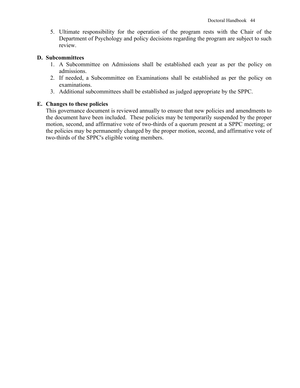5. Ultimate responsibility for the operation of the program rests with the Chair of the Department of Psychology and policy decisions regarding the program are subject to such review.

### **D. Subcommittees**

- 1. A Subcommittee on Admissions shall be established each year as per the policy on admissions.
- 2. If needed, a Subcommittee on Examinations shall be established as per the policy on examinations.
- 3. Additional subcommittees shall be established as judged appropriate by the SPPC.

# **E. Changes to these policies**

This governance document is reviewed annually to ensure that new policies and amendments to the document have been included. These policies may be temporarily suspended by the proper motion, second, and affirmative vote of two-thirds of a quorum present at a SPPC meeting; or the policies may be permanently changed by the proper motion, second, and affirmative vote of two-thirds of the SPPC's eligible voting members.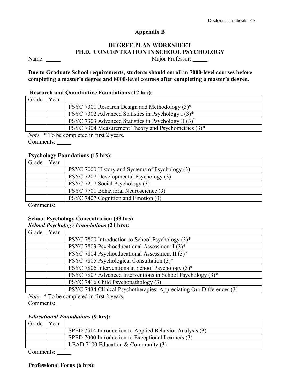### **Appendix B**

# **DEGREE PLAN WORKSHEET PH.D. CONCENTRATION IN SCHOOL PSYCHOLOGY**

Name: Major Professor:

**Due to Graduate School requirements, students should enroll in 7000-level courses before completing a master's degree and 8000-level courses after completing a master's degree.**

### **Research and Quantitative Foundations (12 hrs)**:

| Grade | Year |                                                                 |
|-------|------|-----------------------------------------------------------------|
|       |      | PSYC 7301 Research Design and Methodology $(3)^*$               |
|       |      | PSYC 7302 Advanced Statistics in Psychology I (3)*              |
|       |      | PSYC 7303 Advanced Statistics in Psychology II (3) <sup>*</sup> |
|       |      | PSYC 7304 Measurement Theory and Psychometrics (3)*             |

*Note.* \* To be completed in first 2 years. Comments:

### **Psychology Foundations (15 hrs)**:

| Grade | Y ear |                                                 |
|-------|-------|-------------------------------------------------|
|       |       | PSYC 7000 History and Systems of Psychology (3) |
|       |       | PSYC 7207 Developmental Psychology (3)          |
|       |       | PSYC 7217 Social Psychology (3)                 |
|       |       | PSYC 7701 Behavioral Neuroscience (3)           |
|       |       | PSYC 7407 Cognition and Emotion (3)             |

Comments:

### **School Psychology Concentration (33 hrs)**

### *School Psychology Foundations* **(24 hrs):**

| Grade | Year |                                                                      |
|-------|------|----------------------------------------------------------------------|
|       |      | PSYC 7800 Introduction to School Psychology (3)*                     |
|       |      | PSYC 7803 Psychoeducational Assessment I (3)*                        |
|       |      | PSYC 7804 Psychoeducational Assessment II (3)*                       |
|       |      | PSYC 7805 Psychological Consultation (3)*                            |
|       |      | PSYC 7806 Interventions in School Psychology (3)*                    |
|       |      | PSYC 7807 Advanced Interventions in School Psychology (3)*           |
|       |      | PSYC 7416 Child Psychopathology (3)                                  |
|       |      | PSYC 7434 Clinical Psychotherapies: Appreciating Our Differences (3) |

*Note.* \* To be completed in first 2 years. Comments:

# *Educational Foundations* **(9 hrs):**

| Grade                    | 'ear |                                                         |
|--------------------------|------|---------------------------------------------------------|
|                          |      | SPED 7514 Introduction to Applied Behavior Analysis (3) |
|                          |      | SPED 7000 Introduction to Exceptional Learners (3)      |
|                          |      | LEAD 7100 Education $&$ Community (3)                   |
| $\overline{\phantom{0}}$ |      |                                                         |

Comments:

### **Professional Focus (6 hrs):**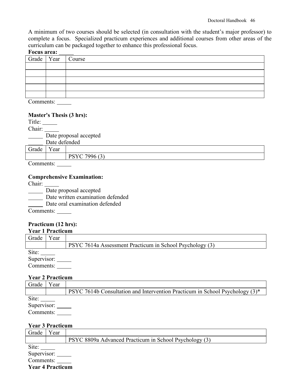A minimum of two courses should be selected (in consultation with the student's major professor) to complete a focus. Specialized practicum experiences and additional courses from other areas of the curriculum can be packaged together to enhance this professional focus.

### **Focus area:**

| TO AND ME AND |                       |  |
|---------------|-----------------------|--|
|               | Grade   Year   Course |  |
|               |                       |  |
|               |                       |  |
|               |                       |  |
|               |                       |  |
|               |                       |  |
|               |                       |  |

Comments:

### **Master's Thesis (3 hrs):**

Title: Chair: Date proposal accepted Date defended Grade Year PSYC 7996 (3) **Contract Contract** Comments:

### **Comprehensive Examination:**

Chair:

**Date proposal accepted** 

Date written examination defended

Date oral examination defended

Comments:

# **Practicum (12 hrs):**

| <b>Year 1 Practicum</b> |      |                                                          |  |
|-------------------------|------|----------------------------------------------------------|--|
| Grade                   | Year |                                                          |  |
|                         |      | PSYC 7614a Assessment Practicum in School Psychology (3) |  |
| Site:                   |      |                                                          |  |
| Supervisor:             |      |                                                          |  |
| Comments:               |      |                                                          |  |

### **Year 2 Practicum**

| Grade       | Year |                                                                                 |
|-------------|------|---------------------------------------------------------------------------------|
|             |      | PSYC 7614b Consultation and Intervention Practicum in School Psychology $(3)^*$ |
| Site:       |      |                                                                                 |
| Supervisor: |      |                                                                                 |
| Comments:   |      |                                                                                 |

# **Year 3 Practicum**

| Grade       | Year                    |                                                        |
|-------------|-------------------------|--------------------------------------------------------|
|             |                         | PSYC 8809a Advanced Practicum in School Psychology (3) |
| Site:       |                         |                                                        |
| Supervisor: |                         |                                                        |
| Comments:   |                         |                                                        |
|             | <b>Year 4 Practicum</b> |                                                        |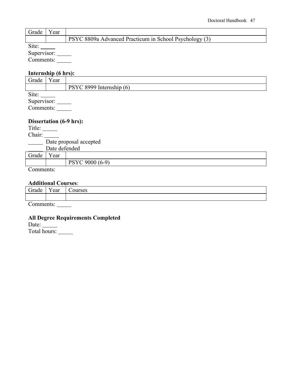| Grade | ⁄ ear |                                                        |
|-------|-------|--------------------------------------------------------|
|       |       | PSYC 8809a Advanced Practicum in School Psychology (3) |
| Site: |       |                                                        |

Supervisor:

Comments:

# **Internship (6 hrs):**

| Grade     | Year        |                          |  |  |  |  |
|-----------|-------------|--------------------------|--|--|--|--|
|           |             | PSYC 8999 Internship (6) |  |  |  |  |
| Site:     |             |                          |  |  |  |  |
|           | Supervisor: |                          |  |  |  |  |
| Comments: |             |                          |  |  |  |  |
|           |             |                          |  |  |  |  |

# **Dissertation (6-9 hrs):**

Title: Chair: Date proposal accepted Date defended

Grade Year PSYC 9000 (6-9)

Comments:

### **Additional Courses**:

| $\sim$<br>`irade<br>16. I C | - -<br>$\sim$ $\sim$ $\sim$<br>ี⊂น⊥ | $    -$<br>າບດ |
|-----------------------------|-------------------------------------|----------------|
|                             |                                     |                |

Comments:

### **All Degree Requirements Completed**

Date:

Total hours: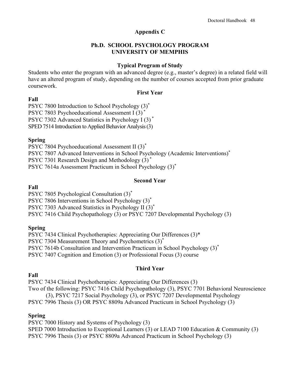# **Appendix C**

# **Ph.D. SCHOOL PSYCHOLOGY PROGRAM UNIVERSITY OF MEMPHIS**

# **Typical Program of Study**

Students who enter the program with an advanced degree (e.g., master's degree) in a related field will have an altered program of study, depending on the number of courses accepted from prior graduate coursework.

### **First Year**

# **Fall**

PSYC 7800 Introduction to School Psychology  $(3)^*$ PSYC 7803 Psychoeducational Assessment I (3) PSYC 7302 Advanced Statistics in Psychology I (3) \* SPED 7514 Introduction to Applied Behavior Analysis (3)

# **Spring**

PSYC 7804 Psychoeducational Assessment II (3)\* PSYC 7807 Advanced Interventions in School Psychology (Academic Interventions)\* PSYC 7301 Research Design and Methodology (3) \* PSYC 7614a Assessment Practicum in School Psychology (3)\*

# **Second Year**

# **Fall**

PSYC 7805 Psychological Consultation (3)\*

PSYC 7806 Interventions in School Psychology (3)\*

PSYC 7303 Advanced Statistics in Psychology II (3)\*

PSYC 7416 Child Psychopathology (3) or PSYC 7207 Developmental Psychology (3)

# **Spring**

PSYC 7434 Clinical Psychotherapies: Appreciating Our Differences (3)\* PSYC 7304 Measurement Theory and Psychometrics (3)\* PSYC 7614b Consultation and Intervention Practicum in School Psychology (3)\* PSYC 7407 Cognition and Emotion (3) or Professional Focus (3) course

# **Third Year**

# **Fall**

PSYC 7434 Clinical Psychotherapies: Appreciating Our Differences (3) Two of the following: PSYC 7416 Child Psychopathology (3), PSYC 7701 Behavioral Neuroscience (3), PSYC 7217 Social Psychology (3), or PSYC 7207 Developmental Psychology PSYC 7996 Thesis (3) OR PSYC 8809a Advanced Practicum in School Psychology (3)

# **Spring**

PSYC 7000 History and Systems of Psychology (3) SPED 7000 Introduction to Exceptional Learners (3) or LEAD 7100 Education & Community (3) PSYC 7996 Thesis (3) or PSYC 8809a Advanced Practicum in School Psychology (3)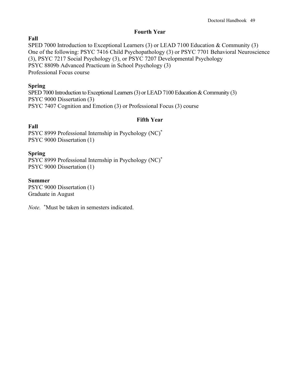# **Fourth Year**

# **Fall**

SPED 7000 Introduction to Exceptional Learners (3) or LEAD 7100 Education & Community (3) One of the following: PSYC 7416 Child Psychopathology (3) or PSYC 7701 Behavioral Neuroscience (3), PSYC 7217 Social Psychology (3), or PSYC 7207 Developmental Psychology PSYC 8809b Advanced Practicum in School Psychology (3) Professional Focus course

# **Spring**

SPED 7000 Introduction to Exceptional Learners (3) or LEAD 7100 Education & Community (3) PSYC 9000 Dissertation (3) PSYC 7407 Cognition and Emotion (3) or Professional Focus (3) course

# **Fifth Year**

# **Fall**

PSYC 8999 Professional Internship in Psychology (NC)\* PSYC 9000 Dissertation (1)

# **Spring**

PSYC 8999 Professional Internship in Psychology (NC)\* PSYC 9000 Dissertation (1)

# **Summer**

PSYC 9000 Dissertation (1) Graduate in August

*Note.* **\***Must be taken in semesters indicated.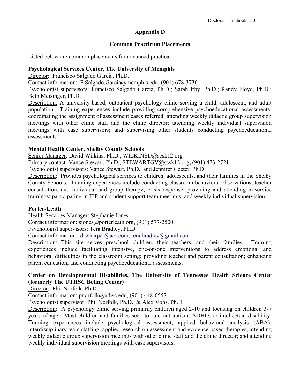# **Appendix D**

### **Common Practicum Placements**

Listed below are common placements for advanced practica.

# **Psychological Services Center, The University of Memphis**

Director: Francisco Salgado Garcia, Ph.D.

Contact information: F.Salgado.Garcia@memphis.edu, (901) 678-3736

Psychologist supervisors: Francisco Salgado Garcia, Ph.D.; Sarah Irby, Ph.D.; Randy Floyd, Ph.D.; Beth Meisinger, Ph.D.

Description: A university-based, outpatient psychology clinic serving a child, adolescent, and adult population. Training experiences include providing comprehensive psychoeducational assessments; coordinating the assignment of assessment cases referred; attending weekly didactic group supervision meetings with other clinic staff and the clinic director; attending weekly individual supervision meetings with case supervisors; and supervising other students conducting psychoeducational assessments.

# **Mental Health Center, Shelby County Schools**

Senior Manager: David Wilkins, Ph.D., WILKINSD@scsk12.org

Primary contact: Vance Stewart, Ph.D., [STEWARTGV@scsk12.org](mailto:STEWARTGV@scsk12.org)**,** (901) 473-2721

Psychologist supervisors: Vance Stewart, Ph.D., and Jennifer Geeter, Ph.D.

Description: Provides psychological services to children, adolescents, and their families in the Shelby County Schools. Training experiences include conducting classroom behavioral observations, teacher consultation, and individual and group therapy; crisis response; providing and attending in-service trainings; participating in IEP and student support team meetings; and weekly individual supervision.

# **Porter-Leath**

Health Services Manager: Stephanie Jones

Contact information: sjones@porterleath.org, (901) 577-2500

Psychologist supervisors: Tera Bradley, Ph.D.

Contact information:  $drwharper@aol.com$ , [tera.bradley@gmail.com](mailto:tera.bradley@gmail.com)

Description: This site serves preschool children, their teachers, and their families. Training experiences include facilitating intensive, one-on-one interventions to address emotional and behavioral difficulties in the classroom setting; providing teacher and parent consultation; enhancing parent education; and conducting psychoeducational assessments.

# **Center on Developmental Disabilities, The University of Tennessee Health Science Center (formerly The UTHSC Boling Center)**

Director: Phil Norfolk, Ph.D.

Contact information: pnorfolk@uthsc.edu, (901) 448-6557

Psychologist supervisor: Phil Norfolk, Ph.D. & Alex Vohs, Ph.D.

Description: A psychology clinic serving primarily children aged 2-10 and focusing on children 3-7 years of age. Most children and families seek to rule out autism, ADHD, or intellectual disability. Training experiences include psychological assessment; applied behavioral analysis (ABA); interdisciplinary team staffing; applied research on assessment and evidence-based therapies; attending weekly didactic group supervision meetings with other clinic staff and the clinic director; and attending weekly individual supervision meetings with case supervisors.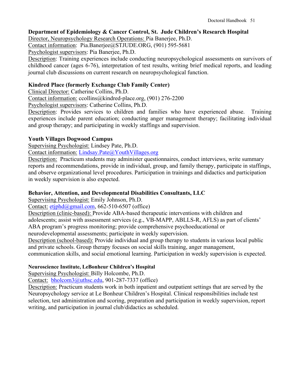# **Department of Epidemiology & Cancer Control, St. Jude Children's Research Hospital**

Director, Neuropsychology Research Operations: Pia Banerjee, Ph.D.

Contact information: Pia.Banerjee@STJUDE.ORG, (901) 595-5681

Psychologist supervisors: Pia Banerjee, Ph.D.

Description: Training experiences include conducting neuropsychological assessments on survivors of childhood cancer (ages 6-76), interpretation of test results, writing brief medical reports, and leading journal club discussions on current research on neuropsychological function.

# **Kindred Place (formerly Exchange Club Family Center)**

Clinical Director: Catherine Collins, Ph.D.

Contact information: [ccollins@kindred-place.org, \(901\)](mailto:ccollins@kindred-place.org,%20(901)) 276-2200

Psychologist supervisors: Catherine Collins, Ph.D.

Description: Provides services to children and families who have experienced abuse. Training experiences include parent education; conducting anger management therapy; facilitating individual and group therapy; and participating in weekly staffings and supervision.

# **Youth Villages Dogwood Campus**

Supervising Psychologist: Lindsey Pate, Ph.D.

Contact information: [Lindsay.Pate@YouthVillages.org](mailto:Lindsay.Pate@YouthVillages.org)

Description: Practicum students may administer questionnaires, conduct interviews, write summary reports and recommendations, provide in individual, group, and family therapy, participate in staffings, and observe organizational level procedures. Participation in trainings and didactics and participation in weekly supervision is also expected.

# **Behavior, Attention, and Developmental Disabilities Consultants, LLC**

Supervising Psychologist: Emily Johnson, Ph.D.

Contact:  $etiphd@gmail.com$ , 662-510-6507 (office)

Description (clinic-based): Provide ABA-based therapeutic interventions with children and adolescents; assist with assessment services (e.g., VB-MAPP, ABLLS-R, AFLS) as part of clients' ABA program's progress monitoring; provide comprehensive psychoeducational or

neurodevelopmental assessments; participate in weekly supervision.

Description (school-based): Provide individual and group therapy to students in various local public and private schools. Group therapy focuses on social skills training, anger management,

communication skills, and social emotional learning. Participation in weekly supervision is expected.

# **Neuroscience Institute, LeBonheur Children's Hospital**

Supervising Psychologist: Billy Holcombe, Ph.D.

Contact: [bholcom3@uthsc.edu,](mailto:bholcom3@uthsc.edu) 901-287-7337 (office)

Description: Practicum students work in both inpatient and outpatient settings that are served by the Neuropsychology service at Le Bonheur Children's Hospital. Clinical responsibilities include test selection, test administration and scoring, preparation and participation in weekly supervision, report writing, and participation in journal club/didactics as scheduled.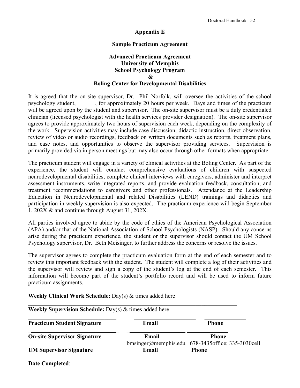### **Appendix E**

### **Sample Practicum Agreement**

### **Advanced Practicum Agreement University of Memphis School Psychology Program & Boling Center for Developmental Disabilities**

It is agreed that the on-site supervisor, Dr. Phil Norfolk, will oversee the activities of the school psychology student, \_\_\_\_\_\_, for approximately 20 hours per week. Days and times of the practicum will be agreed upon by the student and supervisor. The on-site supervisor must be a duly credentialed clinician (licensed psychologist with the health services provider designation). The on-site supervisor agrees to provide approximately two hours of supervision each week, depending on the complexity of the work. Supervision activities may include case discussion, didactic instruction, direct observation, review of video or audio recordings, feedback on written documents such as reports, treatment plans, and case notes, and opportunities to observe the supervisor providing services. Supervision is primarily provided via in person meetings but may also occur through other formats when appropriate.

The practicum student will engage in a variety of clinical activities at the Boling Center. As part of the experience, the student will conduct comprehensive evaluations of children with suspected neurodevelopmental disabilities, complete clinical interviews with caregivers, administer and interpret assessment instruments, write integrated reports, and provide evaluation feedback, consultation, and treatment recommendations to caregivers and other professionals. Attendance at the Leadership Education in Neurodevelopmental and related Disabilities (LEND) trainings and didactics and participation in weekly supervision is also expected. The practicum experience will begin September 1, 202X & and continue through August 31, 202X.

All parties involved agree to abide by the code of ethics of the American Psychological Association (APA) and/or that of the National Association of School Psychologists (NASP). Should any concerns arise during the practicum experience, the student or the supervisor should contact the UM School Psychology supervisor, Dr. Beth Meisinger, to further address the concerns or resolve the issues.

The supervisor agrees to complete the practicum evaluation form at the end of each semester and to review this important feedback with the student. The student will complete a log of their activities and the supervisor will review and sign a copy of the student's log at the end of each semester. This information will become part of the student's portfolio record and will be used to inform future practicum assignments.

| Weekly Clinical Work Schedule: Day(s) & times added here         |                                    |                                                |  |
|------------------------------------------------------------------|------------------------------------|------------------------------------------------|--|
| <b>Weekly Supervision Schedule:</b> Day(s) $\&$ times added here |                                    |                                                |  |
| <b>Practicum Student Signature</b>                               | Email                              | <b>Phone</b>                                   |  |
| <b>On-site Supervisor Signature</b>                              | Email<br>$bmsinger(a)$ memphis.edu | <b>Phone</b><br>678-3435 office; 335-3030 cell |  |
| <b>UM Supervisor Signature</b>                                   | Email                              | <b>Phone</b>                                   |  |

**Date Completed**: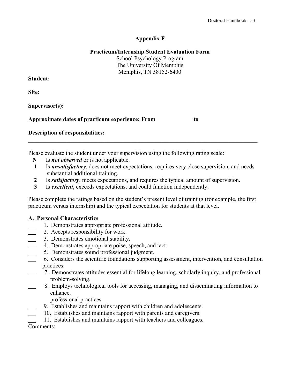# **Appendix F**

# **Practicum/Internship Student Evaluation Form**

School Psychology Program The University Of Memphis Memphis, TN 38152-6400

# **Student:**

**Site:** 

**Supervisor(s):** 

# **Approximate dates of practicum experience: From to**

**Description of responsibilities:** 

Please evaluate the student under your supervision using the following rating scale:

- **N** Is *not observed* or is not applicable.
- **1** Is *unsatisfactory*, does not meet expectations, requires very close supervision, and needs substantial additional training.

\_\_\_\_\_\_\_\_\_\_\_\_\_\_\_\_\_\_\_\_\_\_\_\_\_\_\_\_\_\_\_\_\_\_\_\_\_\_\_\_\_\_\_\_\_\_\_\_\_\_\_\_\_\_\_\_\_\_\_\_\_\_\_\_\_\_\_\_\_\_\_\_\_\_\_\_\_\_

- **2** Is *satisfactory*, meets expectations, and requires the typical amount of supervision.
- **<sup>3</sup>** Is *excellent*, exceeds expectations, and could function independently.

Please complete the ratings based on the student's present level of training (for example, the first practicum versus internship) and the typical expectation for students at that level.

# **A. Personal Characteristics**

- 1. Demonstrates appropriate professional attitude.
- 2. Accepts responsibility for work.
- 3. Demonstrates emotional stability.
- 4. Demonstrates appropriate poise, speech, and tact.
- 5. Demonstrates sound professional judgment.
- 6. Considers the scientific foundations supporting assessment, intervention, and consultation practices.
- 7. Demonstrates attitudes essential for lifelong learning, scholarly inquiry, and professional problem-solving.
- 8. Employs technological tools for accessing, managing, and disseminating information to enhance.
	- professional practices
- 9. Establishes and maintains rapport with children and adolescents.
- 10. Establishes and maintains rapport with parents and caregivers.
- 11. Establishes and maintains rapport with teachers and colleagues.

Comments: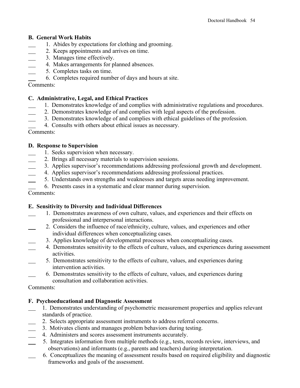# **B. General Work Habits**

- 1. Abides by expectations for clothing and grooming.
- 2. Keeps appointments and arrives on time.
- 3. Manages time effectively.
- 4. Makes arrangements for planned absences.
- 5. Completes tasks on time.
- 6. Completes required number of days and hours at site.

# Comments:

# **C. Administrative, Legal, and Ethical Practices**

- 1. Demonstrates knowledge of and complies with administrative regulations and procedures.
- 2. Demonstrates knowledge of and complies with legal aspects of the profession.
- 3. Demonstrates knowledge of and complies with ethical guidelines of the profession.
- 4. Consults with others about ethical issues as necessary.

Comments:

# **D. Response to Supervision**

- 1. Seeks supervision when necessary.
- 2. Brings all necessary materials to supervision sessions.
- 3. Applies supervisor's recommendations addressing professional growth and development.
- 4. Applies supervisor's recommendations addressing professional practices.
- 5. Understands own strengths and weaknesses and targets areas needing improvement.
- 6. Presents cases in a systematic and clear manner during supervision.
- Comments:

# **E. Sensitivity to Diversity and Individual Differences**

- 1. Demonstrates awareness of own culture, values, and experiences and their effects on professional and interpersonal interactions.
- 2. Considers the influence of race/ethnicity, culture, values, and experiences and other individual differences when conceptualizing cases.
	- 3. Applies knowledge of developmental processes when conceptualizing cases.
	- 4. Demonstrates sensitivity to the effects of culture, values, and experiences during assessment activities.
- 5. Demonstrates sensitivity to the effects of culture, values, and experiences during intervention activities.
- 6. Demonstrates sensitivity to the effects of culture, values, and experiences during consultation and collaboration activities.

Comments:

# **F. Psychoeducational and Diagnostic Assessment**

- 1. Demonstrates understanding of psychometric measurement properties and applies relevant standards of practice.
- 2. Selects appropriate assessment instruments to address referral concerns.
- 3. Motivates clients and manages problem behaviors during testing.
- 4. Administers and scores assessment instruments accurately.
- 5. Integrates information from multiple methods (e.g., tests, records review, interviews, and observations) and informants (e.g., parents and teachers) during interpretation.
- 6. Conceptualizes the meaning of assessment results based on required eligibility and diagnostic frameworks and goals of the assessment.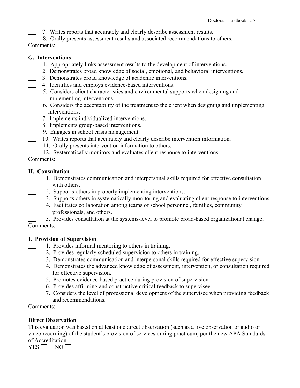7. Writes reports that accurately and clearly describe assessment results.

8. Orally presents assessment results and associated recommendations to others.

Comments:

# **G. Interventions**

- 1. Appropriately links assessment results to the development of interventions.
- 2. Demonstrates broad knowledge of social, emotional, and behavioral interventions.
- 3. Demonstrates broad knowledge of academic interventions.
- 4. Identifies and employs evidence-based interventions.
- 5. Considers client characteristics and environmental supports when designing and implementing interventions.
- 6. Considers the acceptability of the treatment to the client when designing and implementing interventions.
	- 7. Implements individualized interventions.
- 8. Implements group-based interventions.
- 9. Engages in school crisis management.
- 10. Writes reports that accurately and clearly describe intervention information.
- 11. Orally presents intervention information to others.
- 12. Systematically monitors and evaluates client response to interventions.

Comments:

# **H. Consultation**

- 1. Demonstrates communication and interpersonal skills required for effective consultation with others.
	- 2. Supports others in properly implementing interventions.
- 3. Supports others in systematically monitoring and evaluating client response to interventions.
- 4. Facilitates collaboration among teams of school personnel, families, community professionals, and others.

 5. Provides consultation at the systems-level to promote broad-based organizational change. Comments:

# **I. Provision of Supervision**

- 1. Provides informal mentoring to others in training.
- 2. Provides regularly scheduled supervision to others in training.
- 3. Demonstrates communication and interpersonal skills required for effective supervision.
- 4. Demonstrates the advanced knowledge of assessment, intervention, or consultation required for effective supervision.
- 5. Promotes evidence-based practice during provision of supervision.
- 6. Provides affirming and constructive critical feedback to supervisee.
- 7. Considers the level of professional development of the supervisee when providing feedback and recommendations.

# Comments:

# **Direct Observation**

This evaluation was based on at least one direct observation (such as a live observation or audio or video recording) of the student's provision of services during practicum, per the new APA Standards of Accreditation.

 $YES \Box NO \Box$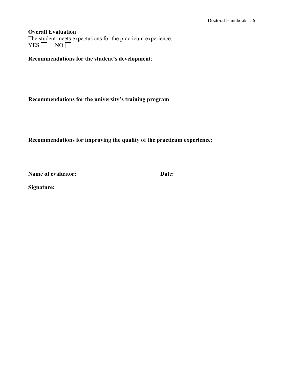### **Overall Evaluation**

The student meets expectations for the practicum experience.  $YES \t{No}$ 

**Recommendations for the student's development**:

**Recommendations for the university's training program**:

**Recommendations for improving the quality of the practicum experience:** 

**Name of evaluator:** Date:

**Signature:**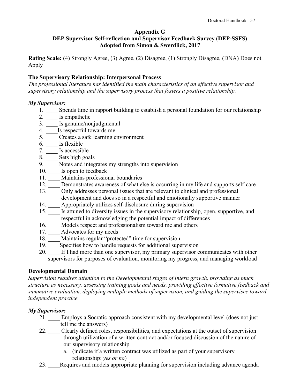### **Appendix G**

# **DEP Supervisor Self-reflection and Supervisor Feedback Survey (DEP-SSFS) Adopted from Simon & Swerdlick, 2017**

**Rating Scale:** (4) Strongly Agree, (3) Agree, (2) Disagree, (1) Strongly Disagree, (DNA) Does not Apply

# **The Supervisory Relationship: Interpersonal Process**

*The professional literature has identified the main characteristics of an effective supervisor and supervisory relationship and the supervisory process that fosters a positive relationship.*

### *My Supervisor:*

- 1. Spends time in rapport building to establish a personal foundation for our relationship
- 2. \_\_\_\_ Is empathetic
- 3. \_\_\_\_ Is genuine/nonjudgmental
- 4. \_\_\_\_Is respectful towards me
- 5. Creates a safe learning environment
- 6. \_\_\_\_ Is flexible
- 7. \_\_\_\_ Is accessible
- 8. \_\_\_\_ Sets high goals
- 9. \_\_\_\_ Notes and integrates my strengths into supervision
- 10. **Is open to feedback**
- 11. \_\_\_\_ Maintains professional boundaries
- 12. \_\_\_\_ Demonstrates awareness of what else is occurring in my life and supports self-care
- 13. \_\_\_\_ Only addresses personal issues that are relevant to clinical and professional development and does so in a respectful and emotionally supportive manner
- 14. \_\_\_\_ Appropriately utilizes self-disclosure during supervision
- 15. \_\_\_\_ Is attuned to diversity issues in the supervisory relationship, open, supportive, and respectful in acknowledging the potential impact of differences
- 16. \_\_\_\_ Models respect and professionalism toward me and others
- 17. \_\_\_\_\_ Advocates for my needs
- 18. Maintains regular "protected" time for supervision
- 19. Specifies how to handle requests for additional supervision
- 20. If I had more than one supervisor, my primary supervisor communicates with other supervisors for purposes of evaluation, monitoring my progress, and managing workload

# **Developmental Domain**

*Supervision requires attention to the Developmental stages of intern growth, providing as much structure as necessary, assessing training goals and needs, providing effective formative feedback and summative evaluation, deploying multiple methods of supervision, and guiding the supervisee toward independent practice.*

# *My Supervisor:*

- 21. \_\_\_\_ Employs a Socratic approach consistent with my developmental level (does not just tell me the answers)
- 22. \_\_\_\_ Clearly defined roles, responsibilities, and expectations at the outset of supervision through utilization of a written contract and/or focused discussion of the nature of our supervisory relationship
	- a. (indicate if a written contract was utilized as part of your supervisory relationship: *yes or no*)
- 23. Requires and models appropriate planning for supervision including advance agenda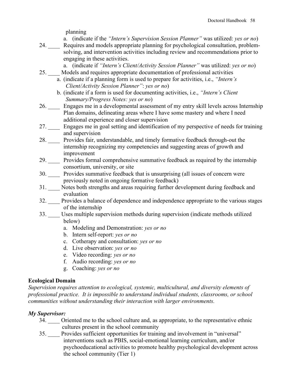planning

a. (indicate if the *"Intern's Supervision Session Planner"* was utilized: *yes or no*)

- 24. Requires and models appropriate planning for psychological consultation, problemsolving, and intervention activities including review and recommendations prior to engaging in these activities.
	- a. (indicate if *"Intern's Client/Activity Session Planner"* was utilized: *yes or no*)
- 25. \_\_\_\_ Models and requires appropriate documentation of professional activities a. (indicate if a planning form is used to prepare for activities, i.e., *"Intern's Client/Activity Session Planner"*: *yes or no*)
	- b. (indicate if a form is used for documenting activities, i.e., *"Intern's Client Summary/Progress Notes: yes or no*)
- 26. \_\_\_\_ Engages me in a developmental assessment of my entry skill levels across Internship Plan domains, delineating areas where I have some mastery and where I need additional experience and closer supervision
- 27. \_\_\_\_ Engages me in goal setting and identification of my perspective of needs for training and supervision
- 28. \_\_\_\_ Provides fair, understandable, and timely formative feedback through-out the internship recognizing my competencies and suggesting areas of growth and improvement
- 29. Provides formal comprehensive summative feedback as required by the internship consortium, university, or site
- 30. \_\_\_\_ Provides summative feedback that is unsurprising (all issues of concern were previously noted in ongoing formative feedback)
- 31. \_\_\_\_ Notes both strengths and areas requiring further development during feedback and evaluation
- 32. \_\_\_\_ Provides a balance of dependence and independence appropriate to the various stages of the internship
- 33. \_\_\_\_ Uses multiple supervision methods during supervision (indicate methods utilized below)
	- a. Modeling and Demonstration: *yes or no*
	- b. Intern self-report: *yes or no*
	- c. Cotherapy and consultation: *yes or no*
	- d. Live observation: *yes or no*
	- e. Video recording: *yes or no*
	- f. Audio recording: *yes or no*
	- g. Coaching: *yes or no*

# **Ecological Domain**

*Supervision requires attention to ecological, systemic, multicultural, and diversity elements of professional practice. It is impossible to understand individual students, classrooms, or school communities without understanding their interaction with larger environments.*

# *My Supervisor:*

- 34. \_\_\_\_ Oriented me to the school culture and, as appropriate, to the representative ethnic cultures present in the school community
- 35. \_\_\_\_ Provides sufficient opportunities for training and involvement in "universal" interventions such as PBIS, social-emotional learning curriculum, and/or psychoeducational activities to promote healthy psychological development across the school community (Tier 1)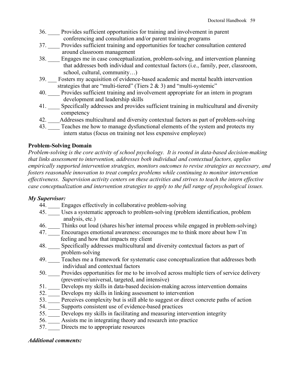- 36. \_\_\_\_ Provides sufficient opportunities for training and involvement in parent conferencing and consultation and/or parent training programs
- 37. Provides sufficient training and opportunities for teacher consultation centered around classroom management
- 38. \_\_\_\_ Engages me in case conceptualization, problem-solving, and intervention planning that addresses both individual and contextual factors (i.e., family, peer, classroom, school, cultural, community…)
- 39. \_\_\_ Fosters my acquisition of evidence-based academic and mental health intervention strategies that are "multi-tiered" (Tiers  $2 \& 3$ ) and "multi-systemic"
- 40. Provides sufficient training and involvement appropriate for an intern in program development and leadership skills
- 41. Specifically addresses and provides sufficient training in multicultural and diversity competency
- 42. \_\_\_\_Addresses multicultural and diversity contextual factors as part of problem-solving
- 43. Teaches me how to manage dysfunctional elements of the system and protects my intern status (focus on training not less expensive employee)

# **Problem-Solving Domain**

*Problem-solving is the core activity of school psychology. It is rooted in data-based decision-making that links assessment to intervention, addresses both individual and contextual factors, applies empirically supported intervention strategies, monitors outcomes to revise strategies as necessary, and fosters reasonable innovation to treat complex problems while continuing to monitor intervention effectiveness. Supervision activity centers on these activities and strives to teach the intern effective case conceptualization and intervention strategies to apply to the full range of psychological issues.*

# *My Supervisor:*

- 44. \_\_\_\_ Engages effectively in collaborative problem-solving
- 45. \_\_\_\_ Uses a systematic approach to problem-solving (problem identification, problem analysis, etc.)
- 46. \_\_\_\_ Thinks out loud (shares his/her internal process while engaged in problem-solving)
- 47. Encourages emotional awareness: encourages me to think more about how I'm feeling and how that impacts my client
- 48. Specifically addresses multicultural and diversity contextual factors as part of problem-solving
- 49. Teaches me a framework for systematic case conceptualization that addresses both individual and contextual factors
- 50. \_\_\_\_ Provides opportunities for me to be involved across multiple tiers of service delivery (preventive/universal, targeted, and intensive)
- 51. \_\_\_\_ Develops my skills in data-based decision-making across intervention domains
- 52. \_\_\_\_ Develops my skills in linking assessment to intervention
- 53. Perceives complexity but is still able to suggest or direct concrete paths of action
- 54. Supports consistent use of evidence-based practices
- 55. \_\_\_\_ Develops my skills in facilitating and measuring intervention integrity
- 56. \_\_\_\_ Assists me in integrating theory and research into practice
- 57. Directs me to appropriate resources

# *Additional comments:*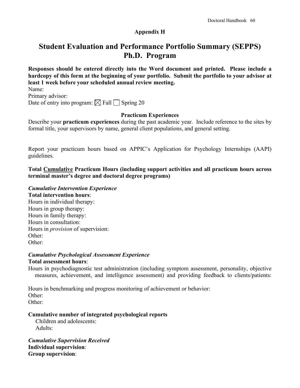# **Appendix H**

# **Student Evaluation and Performance Portfolio Summary (SEPPS) Ph.D. Program**

**Responses should be entered directly into the Word document and printed. Please include a hardcopy of this form at the beginning of your portfolio. Submit the portfolio to your advisor at least 1 week before your scheduled annual review meeting.**

Name: Primary advisor:

Date of entry into program:  $\boxtimes$  Fall  $\Box$  Spring 20

# **Practicum Experiences**

Describe your **practicum experiences** during the past academic year. Include reference to the sites by formal title, your supervisors by name, general client populations, and general setting.

Report your practicum hours based on APPIC's Application for Psychology Internships (AAPI) guidelines.

**Total Cumulative Practicum Hours (including support activities and all practicum hours across terminal master's degree and doctoral degree programs)** 

# *Cumulative Intervention Experience*

### **Total intervention hours**:

Hours in individual therapy: Hours in group therapy: Hours in family therapy: Hours in consultation: Hours in *provision* of supervision: Other: Other:

### *Cumulative Psychological Assessment Experience*  **Total assessment hours**:

Hours in psychodiagnostic test administration (including symptom assessment, personality, objective measures, achievement, and intelligence assessment) and providing feedback to clients/patients:

Hours in benchmarking and progress monitoring of achievement or behavior: Other: Other:

# **Cumulative number of integrated psychological reports**

 Children and adolescents: Adults:

*Cumulative Supervision Received* **Individual supervision**: **Group supervision**: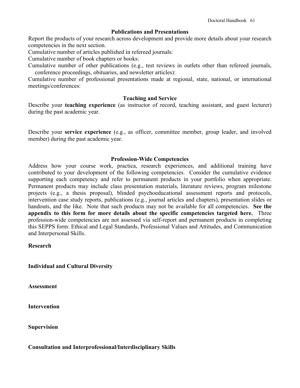### **Publications and Presentations**

Report the products of your research across development and provide more details about your research competencies in the next section.

Cumulative number of articles published in refereed journals:

Cumulative number of book chapters or books:

Cumulative number of other publications (e.g., test reviews in outlets other than refereed journals, conference proceedings, obituaries, and newsletter articles):

Cumulative number of professional presentations made at regional, state, national, or international meetings/conferences:

### **Teaching and Service**

Describe your **teaching experience** (as instructor of record, teaching assistant, and guest lecturer) during the past academic year.

Describe your **service experience** (e.g., as officer, committee member, group leader, and involved member) during the past academic year.

### **Profession-Wide Competencies**

Address how your course work, practica, research experiences, and additional training have contributed to your development of the following competencies. Consider the cumulative evidence supporting each competency and refer to permanent products in your portfolio when appropriate. Permanent products may include class presentation materials, literature reviews, program milestone projects (e.g., a thesis proposal), blinded psychoeducational assessment reports and protocols, intervention case study reports, publications (e.g., journal articles and chapters), presentation slides or handouts, and the like. Note that such products may not be available for all competencies. **See the appendix to this form for more details about the specific competencies targeted here.** Three profession-wide competencies are not assessed via self-report and permanent products in completing this SEPPS form: Ethical and Legal Standards, Professional Values and Attitudes, and Communication and Interpersonal Skills.

### **Research**

**Individual and Cultural Diversity**

**Assessment**

**Intervention**

**Supervision**

### **Consultation and Interprofessional/Interdisciplinary Skills**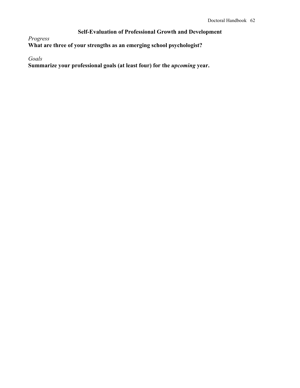# **Self-Evaluation of Professional Growth and Development**

*Progress*

**What are three of your strengths as an emerging school psychologist?**

*Goals*

**Summarize your professional goals (at least four) for the** *upcoming* **year.**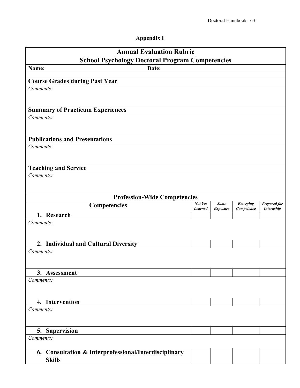# **Appendix I**

| <b>Annual Evaluation Rubric</b><br><b>School Psychology Doctoral Program Competencies</b> |                           |                                |                               |                                          |  |
|-------------------------------------------------------------------------------------------|---------------------------|--------------------------------|-------------------------------|------------------------------------------|--|
| Name:<br>Date:                                                                            |                           |                                |                               |                                          |  |
| <b>Course Grades during Past Year</b>                                                     |                           |                                |                               |                                          |  |
| Comments:                                                                                 |                           |                                |                               |                                          |  |
|                                                                                           |                           |                                |                               |                                          |  |
| <b>Summary of Practicum Experiences</b>                                                   |                           |                                |                               |                                          |  |
| Comments:                                                                                 |                           |                                |                               |                                          |  |
|                                                                                           |                           |                                |                               |                                          |  |
| <b>Publications and Presentations</b>                                                     |                           |                                |                               |                                          |  |
| Comments:                                                                                 |                           |                                |                               |                                          |  |
|                                                                                           |                           |                                |                               |                                          |  |
| <b>Teaching and Service</b>                                                               |                           |                                |                               |                                          |  |
| Comments:                                                                                 |                           |                                |                               |                                          |  |
|                                                                                           |                           |                                |                               |                                          |  |
| <b>Profession-Wide Competencies</b>                                                       |                           |                                |                               |                                          |  |
| Competencies                                                                              | Not Yet<br><b>Learned</b> | <b>Some</b><br><b>Exposure</b> | <b>Emerging</b><br>Competence | <b>Prepared for</b><br><b>Internship</b> |  |
| 1. Research                                                                               |                           |                                |                               |                                          |  |
| Comments:                                                                                 |                           |                                |                               |                                          |  |
|                                                                                           |                           |                                |                               |                                          |  |
| 2. Individual and Cultural Diversity                                                      |                           |                                |                               |                                          |  |
| Comments:                                                                                 |                           |                                |                               |                                          |  |
|                                                                                           |                           |                                |                               |                                          |  |
| 3. Assessment                                                                             |                           |                                |                               |                                          |  |
| Comments:                                                                                 |                           |                                |                               |                                          |  |
|                                                                                           |                           |                                |                               |                                          |  |
|                                                                                           |                           |                                |                               |                                          |  |
| 4. Intervention<br>Comments:                                                              |                           |                                |                               |                                          |  |
|                                                                                           |                           |                                |                               |                                          |  |
|                                                                                           |                           |                                |                               |                                          |  |
| 5. Supervision                                                                            |                           |                                |                               |                                          |  |
| Comments:                                                                                 |                           |                                |                               |                                          |  |
| 6. Consultation & Interprofessional/Interdisciplinary                                     |                           |                                |                               |                                          |  |
| <b>Skills</b>                                                                             |                           |                                |                               |                                          |  |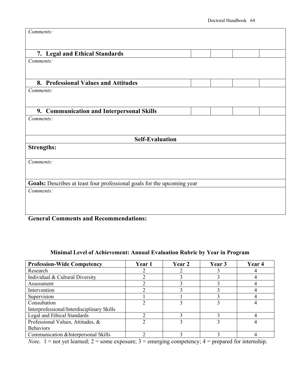| Comments:                                                               |  |  |
|-------------------------------------------------------------------------|--|--|
|                                                                         |  |  |
| 7. Legal and Ethical Standards                                          |  |  |
| Comments:                                                               |  |  |
|                                                                         |  |  |
| 8. Professional Values and Attitudes                                    |  |  |
| Comments:                                                               |  |  |
|                                                                         |  |  |
| 9. Communication and Interpersonal Skills                               |  |  |
| Comments:                                                               |  |  |
|                                                                         |  |  |
| <b>Self-Evaluation</b>                                                  |  |  |
| <b>Strengths:</b>                                                       |  |  |
|                                                                         |  |  |
| Comments:                                                               |  |  |
|                                                                         |  |  |
| Goals: Describes at least four professional goals for the upcoming year |  |  |
| Comments:                                                               |  |  |
|                                                                         |  |  |
|                                                                         |  |  |
|                                                                         |  |  |

# **General Comments and Recommendations:**

# **Minimal Level of Achievement: Annual Evaluation Rubric by Year in Program**

| <b>Profession-Wide Competency</b>          | Year 1 | Year 2 | Year 3 | Year 4 |
|--------------------------------------------|--------|--------|--------|--------|
| Research                                   |        |        |        |        |
| Individual & Cultural Diversity            |        |        |        |        |
| Assessment                                 |        |        |        |        |
| Intervention                               |        |        |        |        |
| Supervision                                |        |        |        |        |
| Consultation                               |        |        |        |        |
| Interprofessional/Interdisciplinary Skills |        |        |        |        |
| Legal and Ethical Standards                |        |        |        |        |
| Professional Values, Attitudes, &          |        |        |        |        |
| <b>Behaviors</b>                           |        |        |        |        |
| Communication & Interpersonal Skills       |        |        |        |        |

*Note.*  $1 =$  not yet learned;  $2 =$  some exposure;  $3 =$  emerging competency;  $4 =$  prepared for internship.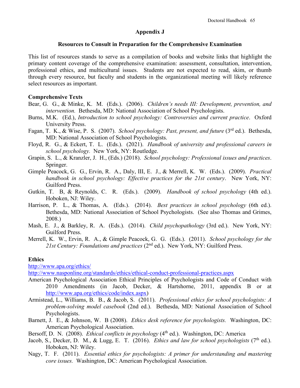### **Appendix J**

### **Resources to Consult in Preparation for the Comprehensive Examination**

This list of resources stands to serve as a compilation of books and website links that highlight the primary content coverage of the comprehensive examination: assessment, consultation, intervention, professional ethics, and multicultural issues. Students are not expected to read, skim, or thumb through every resource, but faculty and students in the organizational meeting will likely reference select resources as important.

### **Comprehensive Texts**

- Bear, G. G., & Minke, K. M. (Eds.). (2006). *Children's needs III: Development, prevention, and intervention.* Bethesda, MD: National Association of School Psychologists.
- Burns, M.K. (Ed.), *Introduction to school psychology: Controversies and current practice*. Oxford University Press.
- Fagan, T. K., & Wise, P. S. (2007). *School psychology: Past, present, and future* (3rd ed.). Bethesda, MD: National Association of School Psychologists.
- Floyd, R. G., & Eckert, T. L. (Eds.). (2021). *Handbook of university and professional careers in school psychology.* New York, NY: Routledge.
- Grapin, S. L., & Kranzler, J. H., (Eds.) (2018). *School psychology: Professional issues and practices*. Springer.
- Gimple Peacock, G. G., Ervin, R. A., Daly, III, E. J., & Merrell, K. W. (Eds.). (2009). *Practical handbook in school psychology: Effective practices for the 21st century*. New York, NY: Guilford Press.
- Gutkin, T. B, & Reynolds, C. R. (Eds.). (2009). *Handbook of school psychology* (4th ed.). Hoboken, NJ: Wiley.
- Harrison, P. L., & Thomas, A. (Eds.). (2014). *Best practices in school psychology* (6th ed.). Bethesda, MD: National Association of School Psychologists. (See also Thomas and Grimes, 2008.)
- Mash, E. J., & Barkley, R. A. (Eds.). (2014). *Child psychopathology* (3rd ed.). New York, NY: Guilford Press.
- Merrell, K. W., Ervin, R. A., & Gimple Peacock, G. G. (Eds.). (2011). *School psychology for the 21st Century: Foundations and practices* (2nd ed.). New York, NY: Guilford Press.

# **Ethics**

<http://www.apa.org/ethics/>

<http://www.nasponline.org/standards/ethics/ethical-conduct-professional-practices.aspx>

- American Psychological Association Ethical Principles of Psychologists and Code of Conduct with 2010 Amendments (in Jacob, Decker, & Hartshorne, 2011, appendix B or at [http://www.apa.org/ethics/code/index.aspx\)](http://www.apa.org/ethics/code/index.aspx)
- Armistead, L., Williams, B. B., & Jacob, S. (2011). *Professional ethics for school psychologists: A problem-solving model casebook* (2nd ed.). Bethesda, MD: National Association of School Psychologists.
- Barnett, J. E., & Johnson, W. B (2008). *Ethics desk reference for psychologists.* Washington, DC: American Psychological Association.
- Bersoff, D. N. (2008). *Ethical conflicts in psychology* (4<sup>th</sup> ed.). Washington, DC: America
- Jacob, S., Decker, D. M., & Lugg, E. T. (2016). *Ethics and law for school psychologists* (7<sup>th</sup> ed.). Hoboken, NJ: Wiley.
- Nagy, T. F. (2011). *Essential ethics for psychologists: A primer for understanding and mastering core issues.* Washington, DC: American Psychological Association.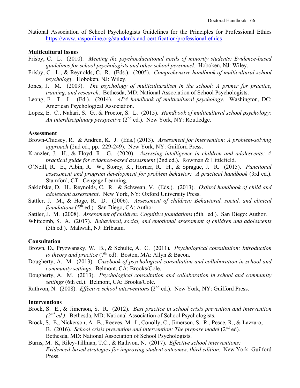National Association of School Psychologists Guidelines for the Principles for Professional Ethics <https://www.nasponline.org/standards-and-certification/professional-ethics>

### **Multicultural Issues**

- Frisby, C. L. (2010). *Meeting the psychoeducational needs of minority students: Evidence-based guidelines for school psychologists and other school personnel.* Hoboken, NJ: Wiley.
- Frisby, C. L., & Reynolds, C. R. (Eds.). (2005). *Comprehensive handbook of multicultural school psychology*. Hoboken, NJ: Wiley.
- Jones, J. M. (2009). *The psychology of multiculturalism in the school: A primer for practice*, *training, and research*. Bethesda, MD: National Association of School Psychologists.
- Leong, F. T. L. (Ed.). (2014). *APA handbook of multicultural psychology*. Washington, DC: American Psychological Association.
- Lopez, E. C., Nahari, S. G., & Proctor, S. L. (2015). *Handbook of multicultural school psychology: An interdisciplinary perspective* (2<sup>nd</sup> ed.). New York, NY: Routledge.

### **Assessment**

- Brown-Chidsey, R. & Andren, K. J. (Eds.) (2013). *Assessment for intervention: A problem-solving approach* (2nd ed., pp. 229-249). New York, NY: Guilford Press.
- Kranzler, J. H., & Floyd, R. G. (2020). *Assessing intelligence in children and adolescents: A practical guide for evidence-based assessment* (2nd ed.). Rowman & Littlefield.
- O'Neill, R. E., Albin, R. W., Storey, K., Horner, R. H., & Sprague, J. R. (2015). *Functional assessment and program development for problem behavior: A practical handbook* (3rd ed.). Stamford, CT: Cengage Learning.
- Saklofske, D. H., Reynolds, C. R. & Schwean, V. (Eds.). (2013). *Oxford handbook of child and adolescent assessment*. New York, NY: Oxford University Press.
- Sattler, J. M., & Hoge, R. D. (2006). *Assessment of children: Behavioral, social, and clinical foundations* (5<sup>th</sup> ed.). San Diego, CA: Author.
- Sattler, J. M. (2008). *Assessment of children: Cognitive foundations* (5th. ed.). San Diego: Author.
- Whitcomb, S. A. (2017). *Behavioral, social, and emotional assessment of children and adolescents* (5th ed.). Mahwah, NJ: Erlbaum.

### **Consultation**

- Brown, D., Pryzwansky, W. B., & Schulte, A. C. (2011)*. Psychological consultation: Introduction to theory and practice* (7<sup>th</sup> ed). Boston, MA: Allyn & Bacon.
- Dougherty, A. M. (2013). *Casebook of psychological consultation and collaboration in school and community settings*. Belmont, CA: Brooks/Cole.
- Dougherty, A. M. (2013). *Psychological consultation and collaboration in school and community settings* (6th ed.). Belmont, CA: Brooks/Cole.
- Rathvon, N. (2008). *Effective school interventions* (2<sup>nd</sup> ed.). New York, NY: Guilford Press.

### **Interventions**

- Brock, S. E., & Jimerson, S. R. (2012). *Best practice in school crisis prevention and intervention (2nd ed.)*. Bethesda, MD: National Association of School Psychologists.
- Brock, S. E., Nickerson, A. B., Reeves, M. L, Conolly, C., Jimerson, S. R., Pesce, R., & Lazzaro, B. (2016). *School crisis prevention and intervention: The prepare model* (2<sup>nd</sup> ed). Bethesda, MD: National Association of School Psychologists.
- Burns, M. K, Riley-Tillman, T.C., & Rathvon, N. (2017). *Effective school interventions: Evidenced-based strategies for improving student outcomes, third edition.* New York: Guilford Press.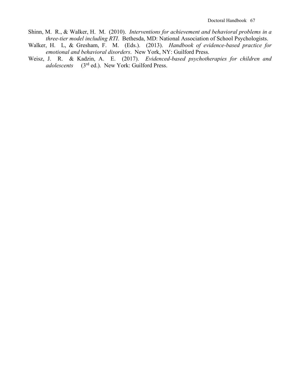- Shinn, M. R., & Walker, H. M. (2010). *Interventions for achievement and behavioral problems in a three-tier model including RTI*. Bethesda, MD: National Association of School Psychologists.
- Walker, H. L, & Gresham, F. M. (Eds.). (2013). *Handbook of evidence-based practice for emotional and behavioral disorders*. New York, NY: Guilford Press.
- Weisz, J. R. & Kadzin, A. E. (2017). *Evidenced-based psychotherapies for children and adolescents* (3rd ed.). New York: Guilford Press.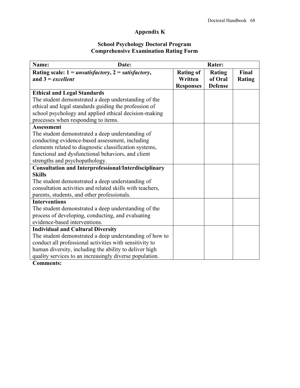# **Appendix K**

### **School Psychology Doctoral Program Comprehensive Examination Rating Form**

| Name:<br>Date:                                              |                  | <b>Rater:</b>  |               |
|-------------------------------------------------------------|------------------|----------------|---------------|
| Rating scale: $1 = unsatisfactory, 2 = satisfactory,$       | <b>Rating of</b> | <b>Rating</b>  | Final         |
| and $3 = excellent$                                         | Written          | of Oral        | <b>Rating</b> |
|                                                             | <b>Responses</b> | <b>Defense</b> |               |
| <b>Ethical and Legal Standards</b>                          |                  |                |               |
| The student demonstrated a deep understanding of the        |                  |                |               |
| ethical and legal standards guiding the profession of       |                  |                |               |
| school psychology and applied ethical decision-making       |                  |                |               |
| processes when responding to items.                         |                  |                |               |
| <b>Assessment</b>                                           |                  |                |               |
| The student demonstrated a deep understanding of            |                  |                |               |
| conducting evidence-based assessment, including             |                  |                |               |
| elements related to diagnostic classification systems,      |                  |                |               |
| functional and dysfunctional behaviors, and client          |                  |                |               |
| strengths and psychopathology.                              |                  |                |               |
| <b>Consultation and Interprofessional/Interdisciplinary</b> |                  |                |               |
| <b>Skills</b>                                               |                  |                |               |
| The student demonstrated a deep understanding of            |                  |                |               |
| consultation activities and related skills with teachers,   |                  |                |               |
| parents, students, and other professionals.                 |                  |                |               |
| <b>Interventions</b>                                        |                  |                |               |
| The student demonstrated a deep understanding of the        |                  |                |               |
| process of developing, conducting, and evaluating           |                  |                |               |
| evidence-based interventions.                               |                  |                |               |
| <b>Individual and Cultural Diversity</b>                    |                  |                |               |
| The student demonstrated a deep understanding of how to     |                  |                |               |
| conduct all professional activities with sensitivity to     |                  |                |               |
| human diversity, including the ability to deliver high      |                  |                |               |
| quality services to an increasingly diverse population.     |                  |                |               |

**Comments:**